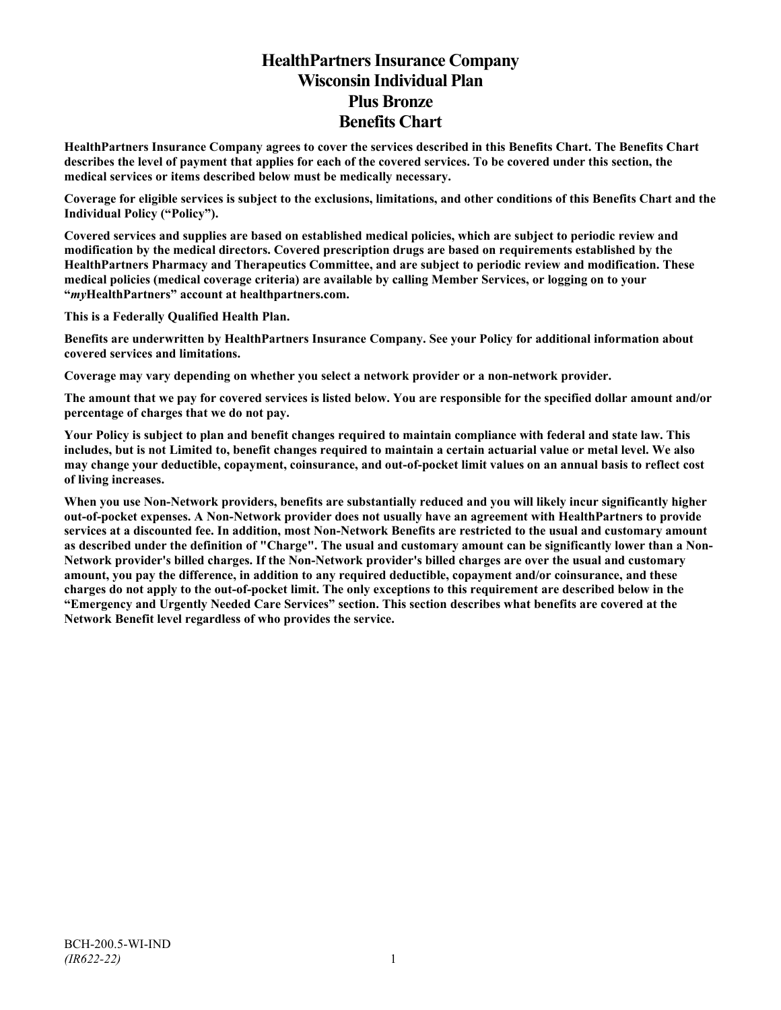# **HealthPartners Insurance Company Wisconsin Individual Plan Plus Bronze Benefits Chart**

**HealthPartners Insurance Company agrees to cover the services described in this Benefits Chart. The Benefits Chart describes the level of payment that applies for each of the covered services. To be covered under this section, the medical services or items described below must be medically necessary.**

**Coverage for eligible services is subject to the exclusions, limitations, and other conditions of this Benefits Chart and the Individual Policy ("Policy").**

**Covered services and supplies are based on established medical policies, which are subject to periodic review and modification by the medical directors. Covered prescription drugs are based on requirements established by the HealthPartners Pharmacy and Therapeutics Committee, and are subject to periodic review and modification. These medical policies (medical coverage criteria) are available by calling Member Services, or logging on to your "***my***HealthPartners" account at [healthpartners.com.](http://www.healthpartners.com/)**

**This is a Federally Qualified Health Plan.**

**Benefits are underwritten by HealthPartners Insurance Company. See your Policy for additional information about covered services and limitations.**

**Coverage may vary depending on whether you select a network provider or a non-network provider.**

**The amount that we pay for covered services is listed below. You are responsible for the specified dollar amount and/or percentage of charges that we do not pay.**

**Your Policy is subject to plan and benefit changes required to maintain compliance with federal and state law. This includes, but is not Limited to, benefit changes required to maintain a certain actuarial value or metal level. We also may change your deductible, copayment, coinsurance, and out-of-pocket limit values on an annual basis to reflect cost of living increases.**

**When you use Non-Network providers, benefits are substantially reduced and you will likely incur significantly higher out-of-pocket expenses. A Non-Network provider does not usually have an agreement with HealthPartners to provide services at a discounted fee. In addition, most Non-Network Benefits are restricted to the usual and customary amount as described under the definition of "Charge". The usual and customary amount can be significantly lower than a Non-Network provider's billed charges. If the Non-Network provider's billed charges are over the usual and customary amount, you pay the difference, in addition to any required deductible, copayment and/or coinsurance, and these charges do not apply to the out-of-pocket limit. The only exceptions to this requirement are described below in the "Emergency and Urgently Needed Care Services" section. This section describes what benefits are covered at the Network Benefit level regardless of who provides the service.**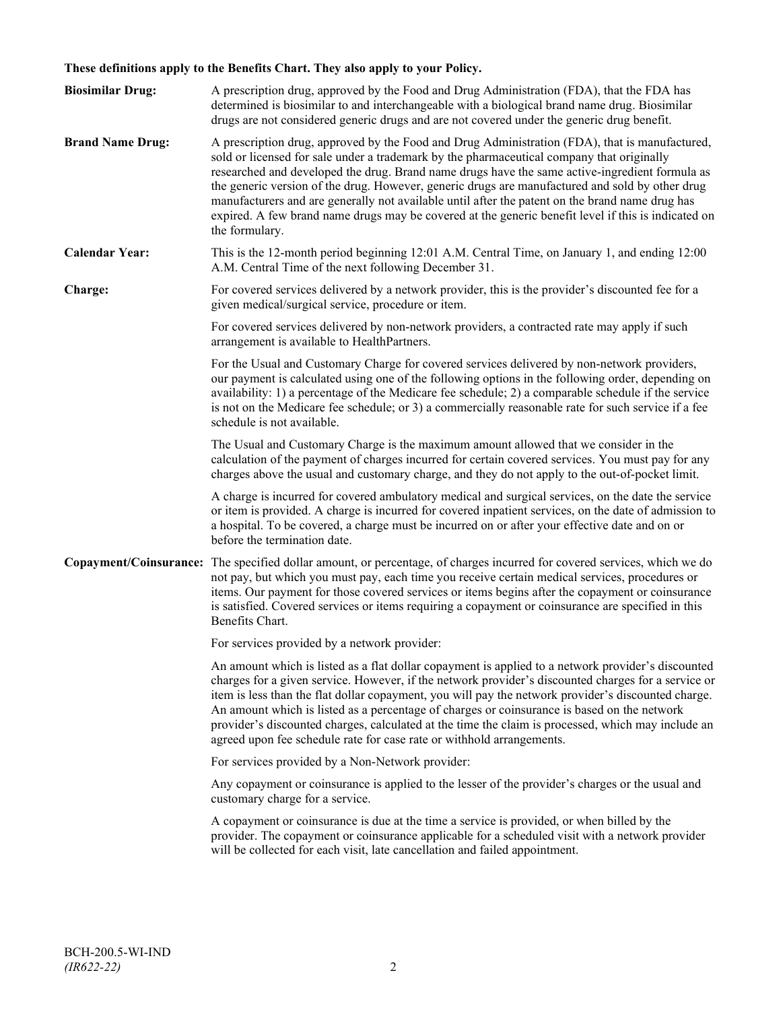# **These definitions apply to the Benefits Chart. They also apply to your Policy.**

| <b>Biosimilar Drug:</b> | A prescription drug, approved by the Food and Drug Administration (FDA), that the FDA has<br>determined is biosimilar to and interchangeable with a biological brand name drug. Biosimilar<br>drugs are not considered generic drugs and are not covered under the generic drug benefit.                                                                                                                                                                                                                                                                                                                                     |
|-------------------------|------------------------------------------------------------------------------------------------------------------------------------------------------------------------------------------------------------------------------------------------------------------------------------------------------------------------------------------------------------------------------------------------------------------------------------------------------------------------------------------------------------------------------------------------------------------------------------------------------------------------------|
| <b>Brand Name Drug:</b> | A prescription drug, approved by the Food and Drug Administration (FDA), that is manufactured,<br>sold or licensed for sale under a trademark by the pharmaceutical company that originally<br>researched and developed the drug. Brand name drugs have the same active-ingredient formula as<br>the generic version of the drug. However, generic drugs are manufactured and sold by other drug<br>manufacturers and are generally not available until after the patent on the brand name drug has<br>expired. A few brand name drugs may be covered at the generic benefit level if this is indicated on<br>the formulary. |
| <b>Calendar Year:</b>   | This is the 12-month period beginning 12:01 A.M. Central Time, on January 1, and ending 12:00<br>A.M. Central Time of the next following December 31.                                                                                                                                                                                                                                                                                                                                                                                                                                                                        |
| Charge:                 | For covered services delivered by a network provider, this is the provider's discounted fee for a<br>given medical/surgical service, procedure or item.                                                                                                                                                                                                                                                                                                                                                                                                                                                                      |
|                         | For covered services delivered by non-network providers, a contracted rate may apply if such<br>arrangement is available to HealthPartners.                                                                                                                                                                                                                                                                                                                                                                                                                                                                                  |
|                         | For the Usual and Customary Charge for covered services delivered by non-network providers,<br>our payment is calculated using one of the following options in the following order, depending on<br>availability: 1) a percentage of the Medicare fee schedule; 2) a comparable schedule if the service<br>is not on the Medicare fee schedule; or 3) a commercially reasonable rate for such service if a fee<br>schedule is not available.                                                                                                                                                                                 |
|                         | The Usual and Customary Charge is the maximum amount allowed that we consider in the<br>calculation of the payment of charges incurred for certain covered services. You must pay for any<br>charges above the usual and customary charge, and they do not apply to the out-of-pocket limit.                                                                                                                                                                                                                                                                                                                                 |
|                         | A charge is incurred for covered ambulatory medical and surgical services, on the date the service<br>or item is provided. A charge is incurred for covered inpatient services, on the date of admission to<br>a hospital. To be covered, a charge must be incurred on or after your effective date and on or<br>before the termination date.                                                                                                                                                                                                                                                                                |
|                         | Copayment/Coinsurance: The specified dollar amount, or percentage, of charges incurred for covered services, which we do<br>not pay, but which you must pay, each time you receive certain medical services, procedures or<br>items. Our payment for those covered services or items begins after the copayment or coinsurance<br>is satisfied. Covered services or items requiring a copayment or coinsurance are specified in this<br>Benefits Chart.                                                                                                                                                                      |
|                         | For services provided by a network provider:                                                                                                                                                                                                                                                                                                                                                                                                                                                                                                                                                                                 |
|                         | An amount which is listed as a flat dollar copayment is applied to a network provider's discounted<br>charges for a given service. However, if the network provider's discounted charges for a service or<br>item is less than the flat dollar copayment, you will pay the network provider's discounted charge.<br>An amount which is listed as a percentage of charges or coinsurance is based on the network<br>provider's discounted charges, calculated at the time the claim is processed, which may include an<br>agreed upon fee schedule rate for case rate or withhold arrangements.                               |
|                         | For services provided by a Non-Network provider:                                                                                                                                                                                                                                                                                                                                                                                                                                                                                                                                                                             |
|                         | Any copayment or coinsurance is applied to the lesser of the provider's charges or the usual and<br>customary charge for a service.                                                                                                                                                                                                                                                                                                                                                                                                                                                                                          |
|                         | A copayment or coinsurance is due at the time a service is provided, or when billed by the<br>provider. The copayment or coinsurance applicable for a scheduled visit with a network provider<br>will be collected for each visit, late cancellation and failed appointment.                                                                                                                                                                                                                                                                                                                                                 |
|                         |                                                                                                                                                                                                                                                                                                                                                                                                                                                                                                                                                                                                                              |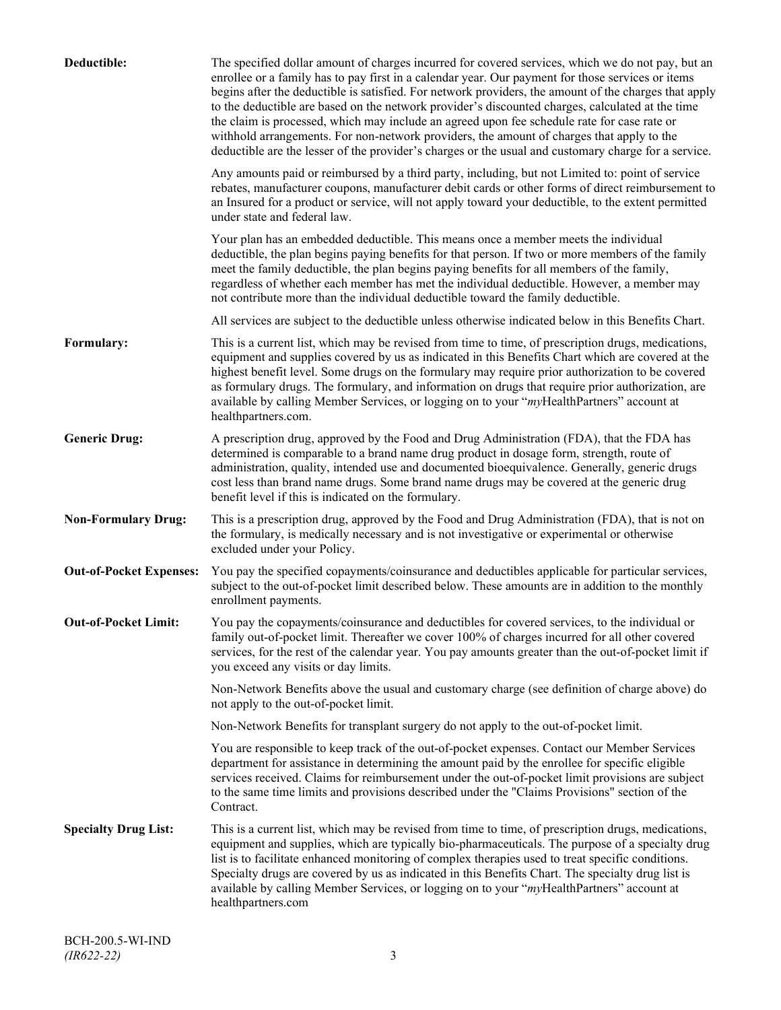| Deductible:                    | The specified dollar amount of charges incurred for covered services, which we do not pay, but an<br>enrollee or a family has to pay first in a calendar year. Our payment for those services or items<br>begins after the deductible is satisfied. For network providers, the amount of the charges that apply<br>to the deductible are based on the network provider's discounted charges, calculated at the time<br>the claim is processed, which may include an agreed upon fee schedule rate for case rate or<br>withhold arrangements. For non-network providers, the amount of charges that apply to the<br>deductible are the lesser of the provider's charges or the usual and customary charge for a service. |
|--------------------------------|-------------------------------------------------------------------------------------------------------------------------------------------------------------------------------------------------------------------------------------------------------------------------------------------------------------------------------------------------------------------------------------------------------------------------------------------------------------------------------------------------------------------------------------------------------------------------------------------------------------------------------------------------------------------------------------------------------------------------|
|                                | Any amounts paid or reimbursed by a third party, including, but not Limited to: point of service<br>rebates, manufacturer coupons, manufacturer debit cards or other forms of direct reimbursement to<br>an Insured for a product or service, will not apply toward your deductible, to the extent permitted<br>under state and federal law.                                                                                                                                                                                                                                                                                                                                                                            |
|                                | Your plan has an embedded deductible. This means once a member meets the individual<br>deductible, the plan begins paying benefits for that person. If two or more members of the family<br>meet the family deductible, the plan begins paying benefits for all members of the family,<br>regardless of whether each member has met the individual deductible. However, a member may<br>not contribute more than the individual deductible toward the family deductible.                                                                                                                                                                                                                                                |
|                                | All services are subject to the deductible unless otherwise indicated below in this Benefits Chart.                                                                                                                                                                                                                                                                                                                                                                                                                                                                                                                                                                                                                     |
| Formulary:                     | This is a current list, which may be revised from time to time, of prescription drugs, medications,<br>equipment and supplies covered by us as indicated in this Benefits Chart which are covered at the<br>highest benefit level. Some drugs on the formulary may require prior authorization to be covered<br>as formulary drugs. The formulary, and information on drugs that require prior authorization, are<br>available by calling Member Services, or logging on to your "myHealthPartners" account at<br>healthpartners.com.                                                                                                                                                                                   |
| <b>Generic Drug:</b>           | A prescription drug, approved by the Food and Drug Administration (FDA), that the FDA has<br>determined is comparable to a brand name drug product in dosage form, strength, route of<br>administration, quality, intended use and documented bioequivalence. Generally, generic drugs<br>cost less than brand name drugs. Some brand name drugs may be covered at the generic drug<br>benefit level if this is indicated on the formulary.                                                                                                                                                                                                                                                                             |
| <b>Non-Formulary Drug:</b>     | This is a prescription drug, approved by the Food and Drug Administration (FDA), that is not on<br>the formulary, is medically necessary and is not investigative or experimental or otherwise<br>excluded under your Policy.                                                                                                                                                                                                                                                                                                                                                                                                                                                                                           |
| <b>Out-of-Pocket Expenses:</b> | You pay the specified copayments/coinsurance and deductibles applicable for particular services,<br>subject to the out-of-pocket limit described below. These amounts are in addition to the monthly<br>enrollment payments.                                                                                                                                                                                                                                                                                                                                                                                                                                                                                            |
| <b>Out-of-Pocket Limit:</b>    | You pay the copayments/coinsurance and deductibles for covered services, to the individual or<br>family out-of-pocket limit. Thereafter we cover 100% of charges incurred for all other covered<br>services, for the rest of the calendar year. You pay amounts greater than the out-of-pocket limit if<br>you exceed any visits or day limits.                                                                                                                                                                                                                                                                                                                                                                         |
|                                | Non-Network Benefits above the usual and customary charge (see definition of charge above) do<br>not apply to the out-of-pocket limit.                                                                                                                                                                                                                                                                                                                                                                                                                                                                                                                                                                                  |
|                                | Non-Network Benefits for transplant surgery do not apply to the out-of-pocket limit.                                                                                                                                                                                                                                                                                                                                                                                                                                                                                                                                                                                                                                    |
|                                | You are responsible to keep track of the out-of-pocket expenses. Contact our Member Services<br>department for assistance in determining the amount paid by the enrollee for specific eligible<br>services received. Claims for reimbursement under the out-of-pocket limit provisions are subject<br>to the same time limits and provisions described under the "Claims Provisions" section of the<br>Contract.                                                                                                                                                                                                                                                                                                        |
| <b>Specialty Drug List:</b>    | This is a current list, which may be revised from time to time, of prescription drugs, medications,<br>equipment and supplies, which are typically bio-pharmaceuticals. The purpose of a specialty drug<br>list is to facilitate enhanced monitoring of complex therapies used to treat specific conditions.<br>Specialty drugs are covered by us as indicated in this Benefits Chart. The specialty drug list is<br>available by calling Member Services, or logging on to your "myHealthPartners" account at<br>healthpartners.com                                                                                                                                                                                    |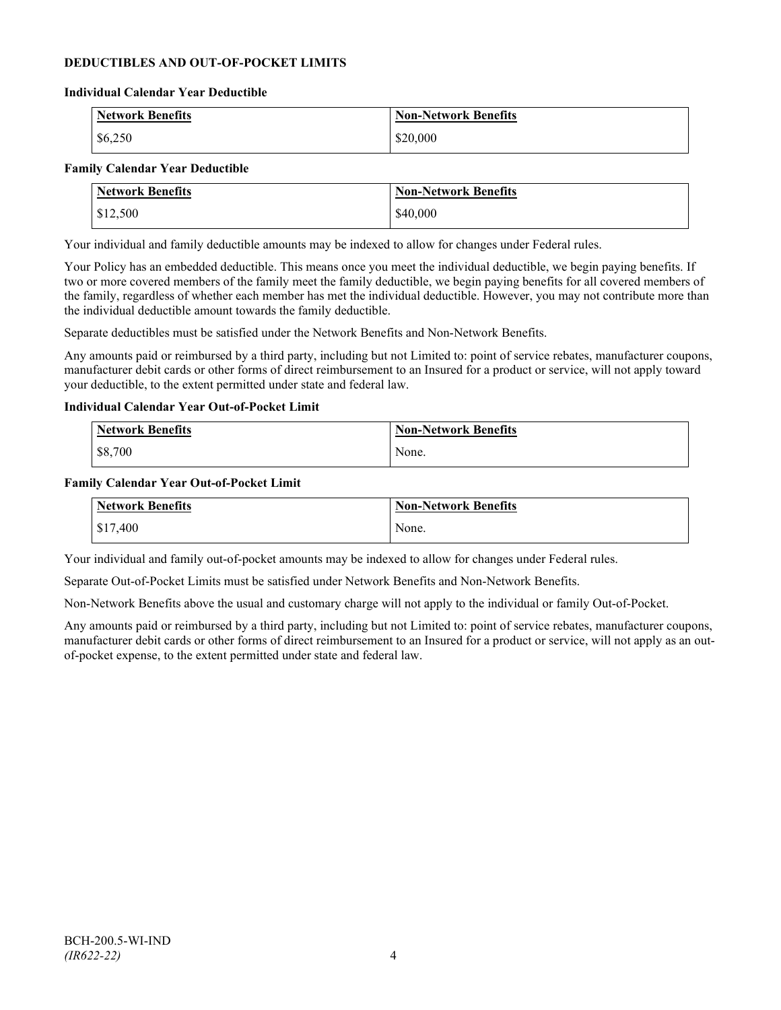# **DEDUCTIBLES AND OUT-OF-POCKET LIMITS**

#### **Individual Calendar Year Deductible**

| <b>Network Benefits</b> | <b>Non-Network Benefits</b> |
|-------------------------|-----------------------------|
| \$6,250                 | \$20,000                    |

#### **Family Calendar Year Deductible**

| <b>Network Benefits</b> | <b>Non-Network Benefits</b> |
|-------------------------|-----------------------------|
| \$12,500                | \$40,000                    |

Your individual and family deductible amounts may be indexed to allow for changes under Federal rules.

Your Policy has an embedded deductible. This means once you meet the individual deductible, we begin paying benefits. If two or more covered members of the family meet the family deductible, we begin paying benefits for all covered members of the family, regardless of whether each member has met the individual deductible. However, you may not contribute more than the individual deductible amount towards the family deductible.

Separate deductibles must be satisfied under the Network Benefits and Non-Network Benefits.

Any amounts paid or reimbursed by a third party, including but not Limited to: point of service rebates, manufacturer coupons, manufacturer debit cards or other forms of direct reimbursement to an Insured for a product or service, will not apply toward your deductible, to the extent permitted under state and federal law.

#### **Individual Calendar Year Out-of-Pocket Limit**

| Network Benefits | <b>Non-Network Benefits</b> |
|------------------|-----------------------------|
| \$8,700          | None.                       |

#### **Family Calendar Year Out-of-Pocket Limit**

| Network Benefits       | <b>Non-Network Benefits</b> |
|------------------------|-----------------------------|
| $\frac{1}{2}$ \$17,400 | None.                       |

Your individual and family out-of-pocket amounts may be indexed to allow for changes under Federal rules.

Separate Out-of-Pocket Limits must be satisfied under Network Benefits and Non-Network Benefits.

Non-Network Benefits above the usual and customary charge will not apply to the individual or family Out-of-Pocket.

Any amounts paid or reimbursed by a third party, including but not Limited to: point of service rebates, manufacturer coupons, manufacturer debit cards or other forms of direct reimbursement to an Insured for a product or service, will not apply as an outof-pocket expense, to the extent permitted under state and federal law.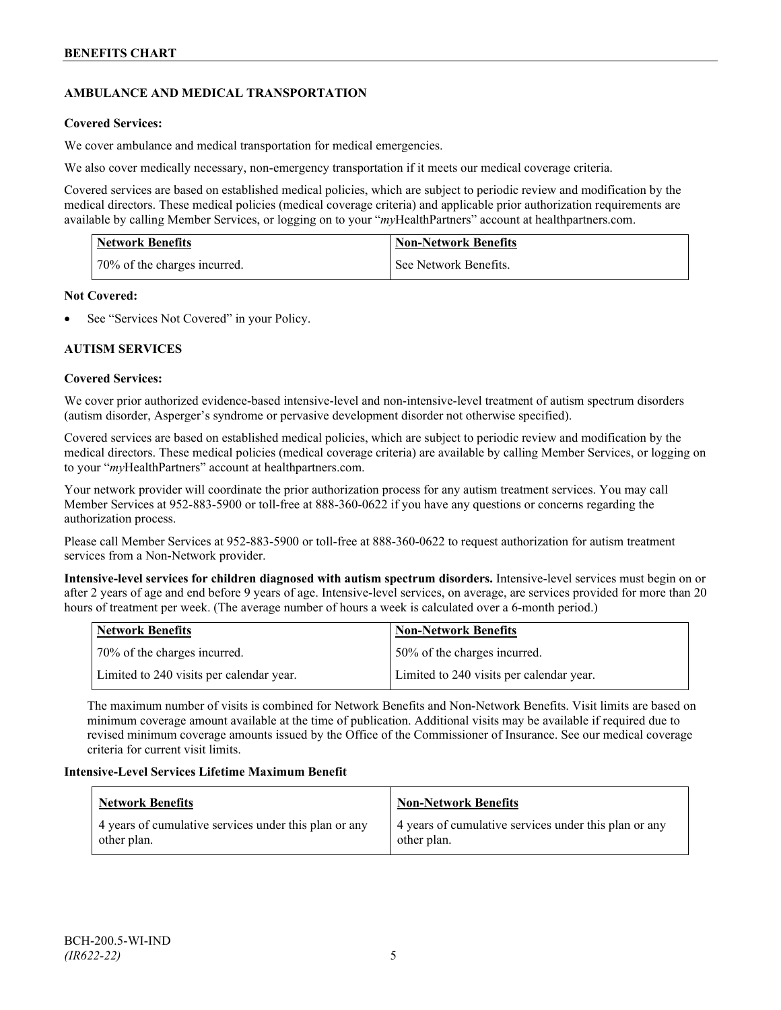# **AMBULANCE AND MEDICAL TRANSPORTATION**

# **Covered Services:**

We cover ambulance and medical transportation for medical emergencies.

We also cover medically necessary, non-emergency transportation if it meets our medical coverage criteria.

Covered services are based on established medical policies, which are subject to periodic review and modification by the medical directors. These medical policies (medical coverage criteria) and applicable prior authorization requirements are available by calling Member Services, or logging on to your "*my*HealthPartners" account a[t healthpartners.com.](http://www.healthpartners.com/)

| <b>Network Benefits</b>      | <b>Non-Network Benefits</b> |
|------------------------------|-----------------------------|
| 70% of the charges incurred. | See Network Benefits.       |

#### **Not Covered:**

See "Services Not Covered" in your Policy.

# **AUTISM SERVICES**

# **Covered Services:**

We cover prior authorized evidence-based intensive-level and non-intensive-level treatment of autism spectrum disorders (autism disorder, Asperger's syndrome or pervasive development disorder not otherwise specified).

Covered services are based on established medical policies, which are subject to periodic review and modification by the medical directors. These medical policies (medical coverage criteria) are available by calling Member Services, or logging on to your "*my*HealthPartners" account at [healthpartners.com.](http://www.healthpartners.com/)

Your network provider will coordinate the prior authorization process for any autism treatment services. You may call Member Services at 952-883-5900 or toll-free at 888-360-0622 if you have any questions or concerns regarding the authorization process.

Please call Member Services at 952-883-5900 or toll-free at 888-360-0622 to request authorization for autism treatment services from a Non-Network provider.

**Intensive-level services for children diagnosed with autism spectrum disorders.** Intensive-level services must begin on or after 2 years of age and end before 9 years of age. Intensive-level services, on average, are services provided for more than 20 hours of treatment per week. (The average number of hours a week is calculated over a 6-month period.)

| Network Benefits                         | <b>Non-Network Benefits</b>              |
|------------------------------------------|------------------------------------------|
| 70% of the charges incurred.             | 150% of the charges incurred.            |
| Limited to 240 visits per calendar year. | Limited to 240 visits per calendar year. |

The maximum number of visits is combined for Network Benefits and Non-Network Benefits. Visit limits are based on minimum coverage amount available at the time of publication. Additional visits may be available if required due to revised minimum coverage amounts issued by the Office of the Commissioner of Insurance. See our medical coverage criteria for current visit limits.

# **Intensive-Level Services Lifetime Maximum Benefit**

| Network Benefits                                                     | <b>Non-Network Benefits</b>                                          |
|----------------------------------------------------------------------|----------------------------------------------------------------------|
| 4 years of cumulative services under this plan or any<br>other plan. | 4 years of cumulative services under this plan or any<br>other plan. |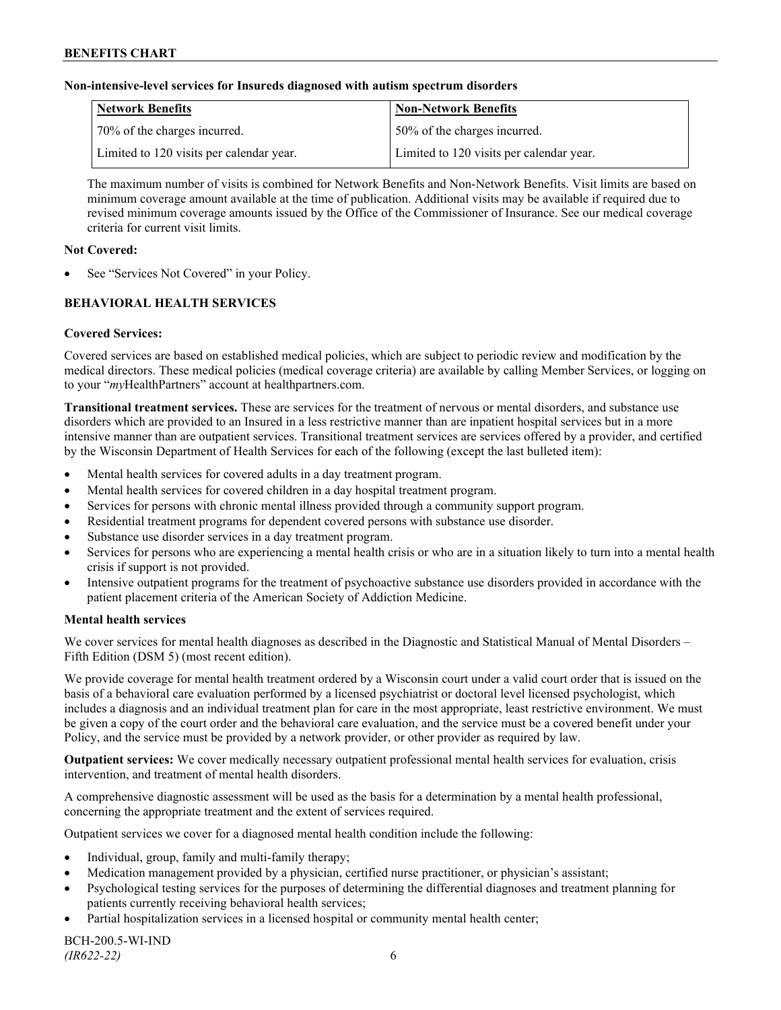### **Non-intensive-level services for Insureds diagnosed with autism spectrum disorders**

| Network Benefits                         | <b>Non-Network Benefits</b>              |
|------------------------------------------|------------------------------------------|
| 70% of the charges incurred.             | 50% of the charges incurred.             |
| Limited to 120 visits per calendar year. | Limited to 120 visits per calendar year. |

The maximum number of visits is combined for Network Benefits and Non-Network Benefits. Visit limits are based on minimum coverage amount available at the time of publication. Additional visits may be available if required due to revised minimum coverage amounts issued by the Office of the Commissioner of Insurance. See our medical coverage criteria for current visit limits.

### **Not Covered:**

See "Services Not Covered" in your Policy.

# **BEHAVIORAL HEALTH SERVICES**

#### **Covered Services:**

Covered services are based on established medical policies, which are subject to periodic review and modification by the medical directors. These medical policies (medical coverage criteria) are available by calling Member Services, or logging on to your "*my*HealthPartners" account at [healthpartners.com.](http://www.healthpartners.com/)

**Transitional treatment services.** These are services for the treatment of nervous or mental disorders, and substance use disorders which are provided to an Insured in a less restrictive manner than are inpatient hospital services but in a more intensive manner than are outpatient services. Transitional treatment services are services offered by a provider, and certified by the Wisconsin Department of Health Services for each of the following (except the last bulleted item):

- Mental health services for covered adults in a day treatment program.
- Mental health services for covered children in a day hospital treatment program.
- Services for persons with chronic mental illness provided through a community support program.
- Residential treatment programs for dependent covered persons with substance use disorder.
- Substance use disorder services in a day treatment program.
- Services for persons who are experiencing a mental health crisis or who are in a situation likely to turn into a mental health crisis if support is not provided.
- Intensive outpatient programs for the treatment of psychoactive substance use disorders provided in accordance with the patient placement criteria of the American Society of Addiction Medicine.

#### **Mental health services**

We cover services for mental health diagnoses as described in the Diagnostic and Statistical Manual of Mental Disorders – Fifth Edition (DSM 5) (most recent edition).

We provide coverage for mental health treatment ordered by a Wisconsin court under a valid court order that is issued on the basis of a behavioral care evaluation performed by a licensed psychiatrist or doctoral level licensed psychologist, which includes a diagnosis and an individual treatment plan for care in the most appropriate, least restrictive environment. We must be given a copy of the court order and the behavioral care evaluation, and the service must be a covered benefit under your Policy, and the service must be provided by a network provider, or other provider as required by law.

**Outpatient services:** We cover medically necessary outpatient professional mental health services for evaluation, crisis intervention, and treatment of mental health disorders.

A comprehensive diagnostic assessment will be used as the basis for a determination by a mental health professional, concerning the appropriate treatment and the extent of services required.

Outpatient services we cover for a diagnosed mental health condition include the following:

- Individual, group, family and multi-family therapy;
- Medication management provided by a physician, certified nurse practitioner, or physician's assistant;
- Psychological testing services for the purposes of determining the differential diagnoses and treatment planning for patients currently receiving behavioral health services;
- Partial hospitalization services in a licensed hospital or community mental health center;

BCH-200.5-WI-IND *(IR622-22)* 6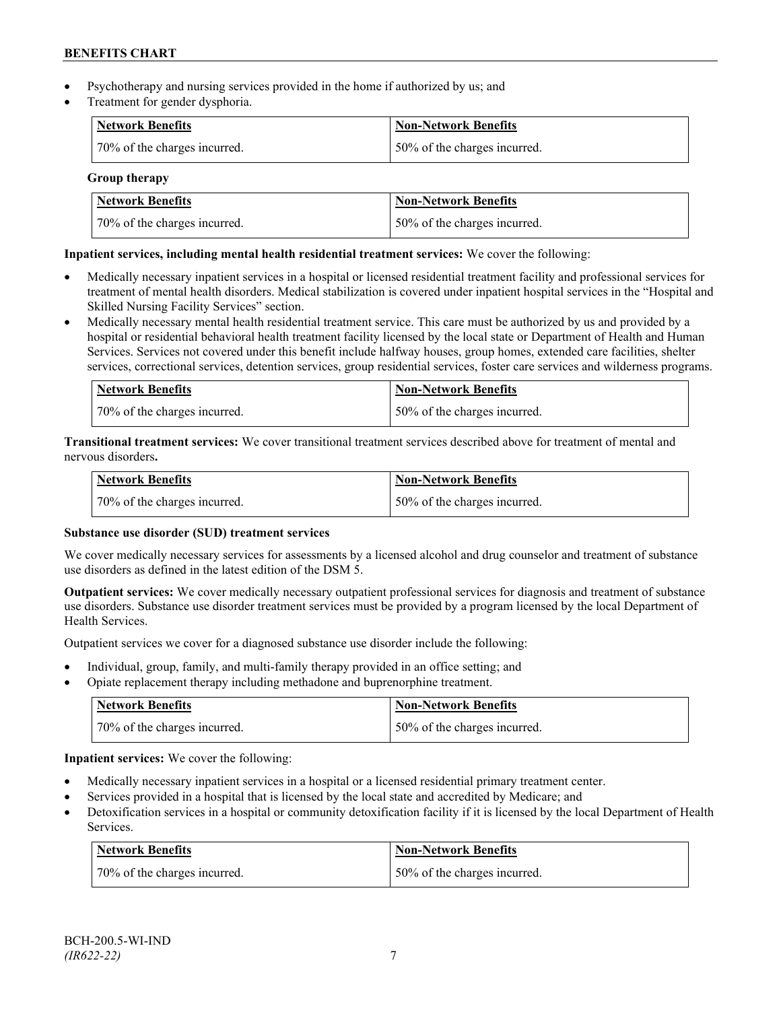- Psychotherapy and nursing services provided in the home if authorized by us; and
- Treatment for gender dysphoria.

| Network Benefits             | <b>Non-Network Benefits</b>  |
|------------------------------|------------------------------|
| 70% of the charges incurred. | 50% of the charges incurred. |

**Group therapy**

| Network Benefits             | <b>Non-Network Benefits</b>  |
|------------------------------|------------------------------|
| 70% of the charges incurred. | 50% of the charges incurred. |

# **Inpatient services, including mental health residential treatment services:** We cover the following:

- Medically necessary inpatient services in a hospital or licensed residential treatment facility and professional services for treatment of mental health disorders. Medical stabilization is covered under inpatient hospital services in the "Hospital and Skilled Nursing Facility Services" section.
- Medically necessary mental health residential treatment service. This care must be authorized by us and provided by a hospital or residential behavioral health treatment facility licensed by the local state or Department of Health and Human Services. Services not covered under this benefit include halfway houses, group homes, extended care facilities, shelter services, correctional services, detention services, group residential services, foster care services and wilderness programs.

| Network Benefits             | Non-Network Benefits         |
|------------------------------|------------------------------|
| 70% of the charges incurred. | 50% of the charges incurred. |

**Transitional treatment services:** We cover transitional treatment services described above for treatment of mental and nervous disorders**.**

| <b>Network Benefits</b>      | <b>Non-Network Benefits</b>  |
|------------------------------|------------------------------|
| 70% of the charges incurred. | 50% of the charges incurred. |

# **Substance use disorder (SUD) treatment services**

We cover medically necessary services for assessments by a licensed alcohol and drug counselor and treatment of substance use disorders as defined in the latest edition of the DSM 5.

**Outpatient services:** We cover medically necessary outpatient professional services for diagnosis and treatment of substance use disorders. Substance use disorder treatment services must be provided by a program licensed by the local Department of Health Services.

Outpatient services we cover for a diagnosed substance use disorder include the following:

- Individual, group, family, and multi-family therapy provided in an office setting; and
- Opiate replacement therapy including methadone and buprenorphine treatment.

| <b>Network Benefits</b>      | <b>Non-Network Benefits</b>   |
|------------------------------|-------------------------------|
| 70% of the charges incurred. | 150% of the charges incurred. |

**Inpatient services:** We cover the following:

- Medically necessary inpatient services in a hospital or a licensed residential primary treatment center.
- Services provided in a hospital that is licensed by the local state and accredited by Medicare; and
- Detoxification services in a hospital or community detoxification facility if it is licensed by the local Department of Health Services.

| Network Benefits             | <b>Non-Network Benefits</b>  |
|------------------------------|------------------------------|
| 70% of the charges incurred. | 50% of the charges incurred. |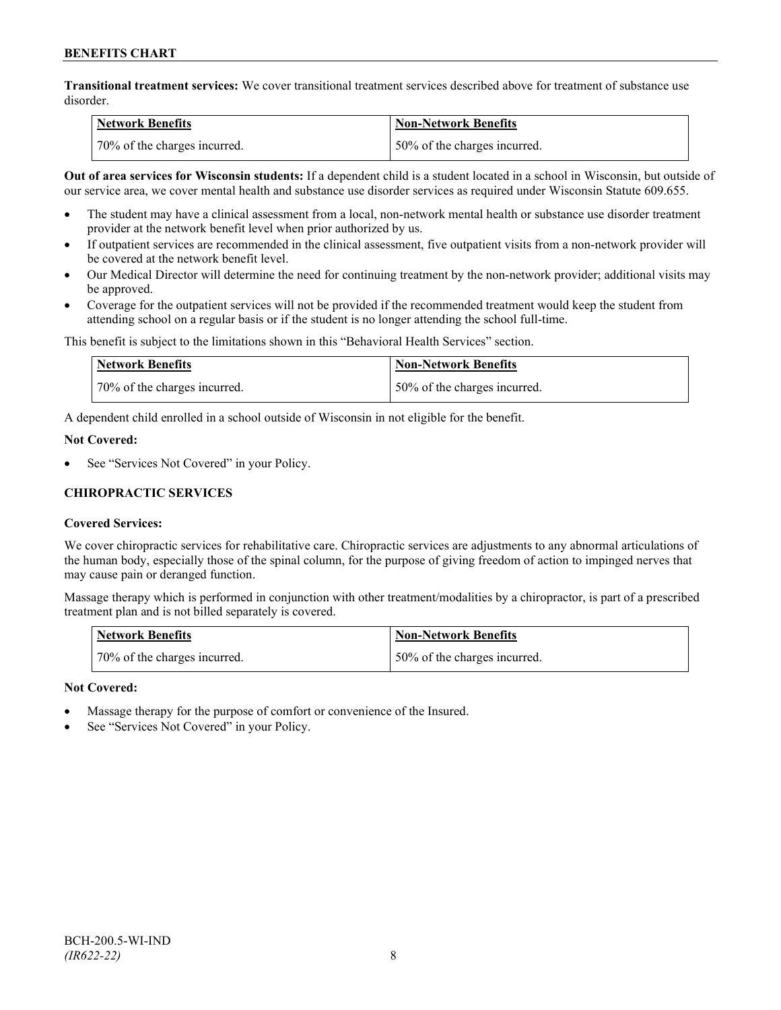**Transitional treatment services:** We cover transitional treatment services described above for treatment of substance use disorder.

| <b>Network Benefits</b>      | <b>Non-Network Benefits</b>  |
|------------------------------|------------------------------|
| 70% of the charges incurred. | 50% of the charges incurred. |

**Out of area services for Wisconsin students:** If a dependent child is a student located in a school in Wisconsin, but outside of our service area, we cover mental health and substance use disorder services as required under Wisconsin Statute 609.655.

- The student may have a clinical assessment from a local, non-network mental health or substance use disorder treatment provider at the network benefit level when prior authorized by us.
- If outpatient services are recommended in the clinical assessment, five outpatient visits from a non-network provider will be covered at the network benefit level.
- Our Medical Director will determine the need for continuing treatment by the non-network provider; additional visits may be approved.
- Coverage for the outpatient services will not be provided if the recommended treatment would keep the student from attending school on a regular basis or if the student is no longer attending the school full-time.

This benefit is subject to the limitations shown in this "Behavioral Health Services" section.

| Network Benefits             | Non-Network Benefits         |
|------------------------------|------------------------------|
| 70% of the charges incurred. | 50% of the charges incurred. |

A dependent child enrolled in a school outside of Wisconsin in not eligible for the benefit.

#### **Not Covered:**

See "Services Not Covered" in your Policy.

# **CHIROPRACTIC SERVICES**

# **Covered Services:**

We cover chiropractic services for rehabilitative care. Chiropractic services are adjustments to any abnormal articulations of the human body, especially those of the spinal column, for the purpose of giving freedom of action to impinged nerves that may cause pain or deranged function.

Massage therapy which is performed in conjunction with other treatment/modalities by a chiropractor, is part of a prescribed treatment plan and is not billed separately is covered.

| <b>Network Benefits</b>      | Non-Network Benefits         |
|------------------------------|------------------------------|
| 70% of the charges incurred. | 50% of the charges incurred. |

# **Not Covered:**

- Massage therapy for the purpose of comfort or convenience of the Insured.
- See "Services Not Covered" in your Policy.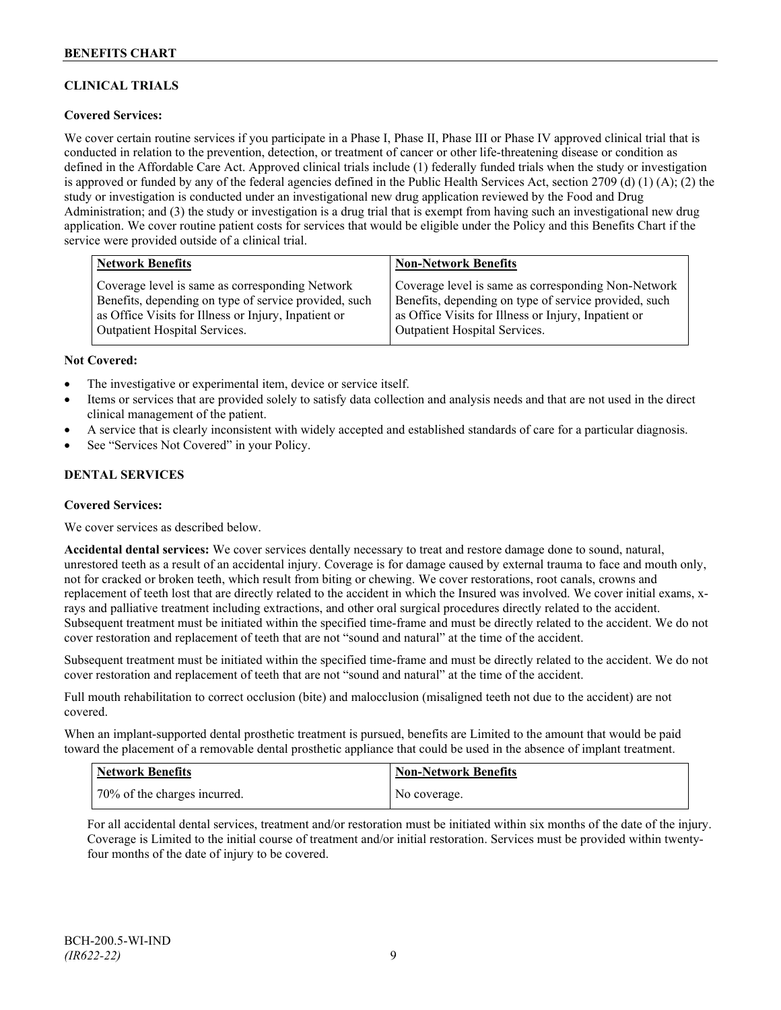# **CLINICAL TRIALS**

# **Covered Services:**

We cover certain routine services if you participate in a Phase I, Phase II, Phase III or Phase IV approved clinical trial that is conducted in relation to the prevention, detection, or treatment of cancer or other life-threatening disease or condition as defined in the Affordable Care Act. Approved clinical trials include (1) federally funded trials when the study or investigation is approved or funded by any of the federal agencies defined in the Public Health Services Act, section 2709 (d) (1) (A); (2) the study or investigation is conducted under an investigational new drug application reviewed by the Food and Drug Administration; and (3) the study or investigation is a drug trial that is exempt from having such an investigational new drug application. We cover routine patient costs for services that would be eligible under the Policy and this Benefits Chart if the service were provided outside of a clinical trial.

| <b>Network Benefits</b>                               | <b>Non-Network Benefits</b>                           |
|-------------------------------------------------------|-------------------------------------------------------|
| Coverage level is same as corresponding Network       | Coverage level is same as corresponding Non-Network   |
| Benefits, depending on type of service provided, such | Benefits, depending on type of service provided, such |
| as Office Visits for Illness or Injury, Inpatient or  | as Office Visits for Illness or Injury, Inpatient or  |
| <b>Outpatient Hospital Services.</b>                  | Outpatient Hospital Services.                         |

#### **Not Covered:**

- The investigative or experimental item, device or service itself.
- Items or services that are provided solely to satisfy data collection and analysis needs and that are not used in the direct clinical management of the patient.
- A service that is clearly inconsistent with widely accepted and established standards of care for a particular diagnosis.
- See "Services Not Covered" in your Policy.

# **DENTAL SERVICES**

#### **Covered Services:**

We cover services as described below.

**Accidental dental services:** We cover services dentally necessary to treat and restore damage done to sound, natural, unrestored teeth as a result of an accidental injury. Coverage is for damage caused by external trauma to face and mouth only, not for cracked or broken teeth, which result from biting or chewing. We cover restorations, root canals, crowns and replacement of teeth lost that are directly related to the accident in which the Insured was involved. We cover initial exams, xrays and palliative treatment including extractions, and other oral surgical procedures directly related to the accident. Subsequent treatment must be initiated within the specified time-frame and must be directly related to the accident. We do not cover restoration and replacement of teeth that are not "sound and natural" at the time of the accident.

Subsequent treatment must be initiated within the specified time-frame and must be directly related to the accident. We do not cover restoration and replacement of teeth that are not "sound and natural" at the time of the accident.

Full mouth rehabilitation to correct occlusion (bite) and malocclusion (misaligned teeth not due to the accident) are not covered.

When an implant-supported dental prosthetic treatment is pursued, benefits are Limited to the amount that would be paid toward the placement of a removable dental prosthetic appliance that could be used in the absence of implant treatment.

| Network Benefits             | <b>Non-Network Benefits</b> |
|------------------------------|-----------------------------|
| 70% of the charges incurred. | No coverage.                |

For all accidental dental services, treatment and/or restoration must be initiated within six months of the date of the injury. Coverage is Limited to the initial course of treatment and/or initial restoration. Services must be provided within twentyfour months of the date of injury to be covered.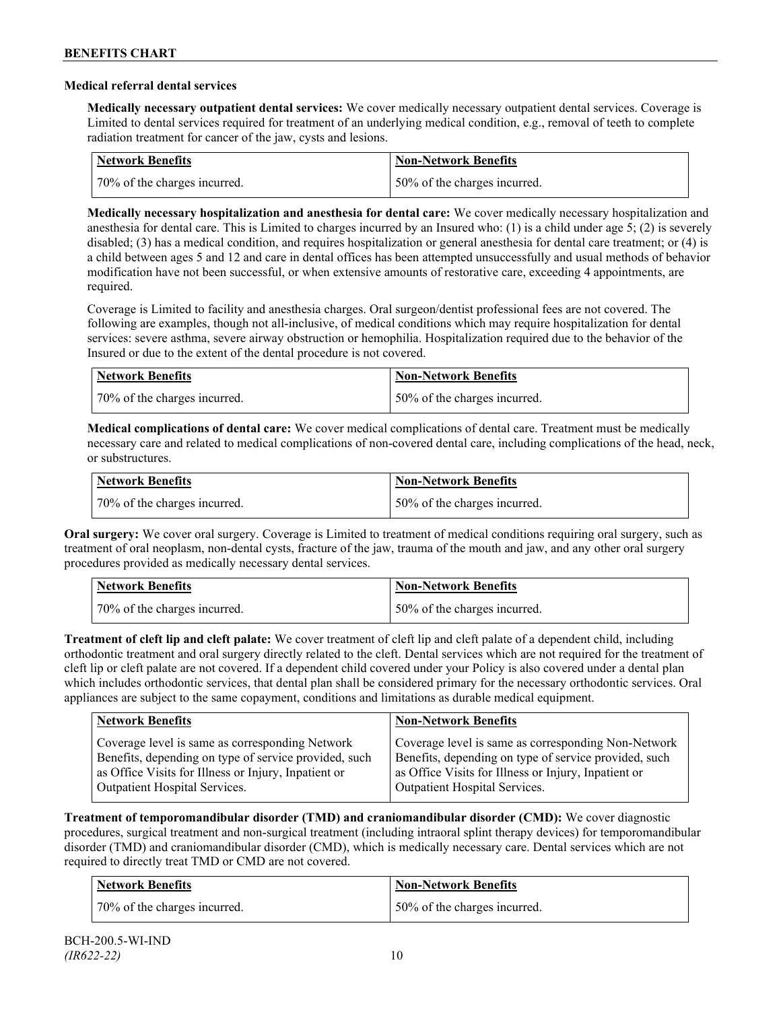### **Medical referral dental services**

**Medically necessary outpatient dental services:** We cover medically necessary outpatient dental services. Coverage is Limited to dental services required for treatment of an underlying medical condition, e.g., removal of teeth to complete radiation treatment for cancer of the jaw, cysts and lesions.

| Network Benefits             | <b>Non-Network Benefits</b>  |
|------------------------------|------------------------------|
| 70% of the charges incurred. | 50% of the charges incurred. |

**Medically necessary hospitalization and anesthesia for dental care:** We cover medically necessary hospitalization and anesthesia for dental care. This is Limited to charges incurred by an Insured who: (1) is a child under age 5; (2) is severely disabled; (3) has a medical condition, and requires hospitalization or general anesthesia for dental care treatment; or (4) is a child between ages 5 and 12 and care in dental offices has been attempted unsuccessfully and usual methods of behavior modification have not been successful, or when extensive amounts of restorative care, exceeding 4 appointments, are required.

Coverage is Limited to facility and anesthesia charges. Oral surgeon/dentist professional fees are not covered. The following are examples, though not all-inclusive, of medical conditions which may require hospitalization for dental services: severe asthma, severe airway obstruction or hemophilia. Hospitalization required due to the behavior of the Insured or due to the extent of the dental procedure is not covered.

| Network Benefits             | <b>Non-Network Benefits</b>  |
|------------------------------|------------------------------|
| 70% of the charges incurred. | 50% of the charges incurred. |

**Medical complications of dental care:** We cover medical complications of dental care. Treatment must be medically necessary care and related to medical complications of non-covered dental care, including complications of the head, neck, or substructures.

| Network Benefits             | <b>Non-Network Benefits</b>  |
|------------------------------|------------------------------|
| 70% of the charges incurred. | 50% of the charges incurred. |

**Oral surgery:** We cover oral surgery. Coverage is Limited to treatment of medical conditions requiring oral surgery, such as treatment of oral neoplasm, non-dental cysts, fracture of the jaw, trauma of the mouth and jaw, and any other oral surgery procedures provided as medically necessary dental services.

| <b>Network Benefits</b>      | <b>Non-Network Benefits</b>  |
|------------------------------|------------------------------|
| 70% of the charges incurred. | 50% of the charges incurred. |

**Treatment of cleft lip and cleft palate:** We cover treatment of cleft lip and cleft palate of a dependent child, including orthodontic treatment and oral surgery directly related to the cleft. Dental services which are not required for the treatment of cleft lip or cleft palate are not covered. If a dependent child covered under your Policy is also covered under a dental plan which includes orthodontic services, that dental plan shall be considered primary for the necessary orthodontic services. Oral appliances are subject to the same copayment, conditions and limitations as durable medical equipment.

| <b>Network Benefits</b>                               | <b>Non-Network Benefits</b>                           |
|-------------------------------------------------------|-------------------------------------------------------|
| Coverage level is same as corresponding Network       | Coverage level is same as corresponding Non-Network   |
| Benefits, depending on type of service provided, such | Benefits, depending on type of service provided, such |
| as Office Visits for Illness or Injury, Inpatient or  | as Office Visits for Illness or Injury, Inpatient or  |
| Outpatient Hospital Services.                         | Outpatient Hospital Services.                         |

**Treatment of temporomandibular disorder (TMD) and craniomandibular disorder (CMD):** We cover diagnostic procedures, surgical treatment and non-surgical treatment (including intraoral splint therapy devices) for temporomandibular disorder (TMD) and craniomandibular disorder (CMD), which is medically necessary care. Dental services which are not required to directly treat TMD or CMD are not covered.

| Network Benefits             | <b>Non-Network Benefits</b>  |
|------------------------------|------------------------------|
| 70% of the charges incurred. | 50% of the charges incurred. |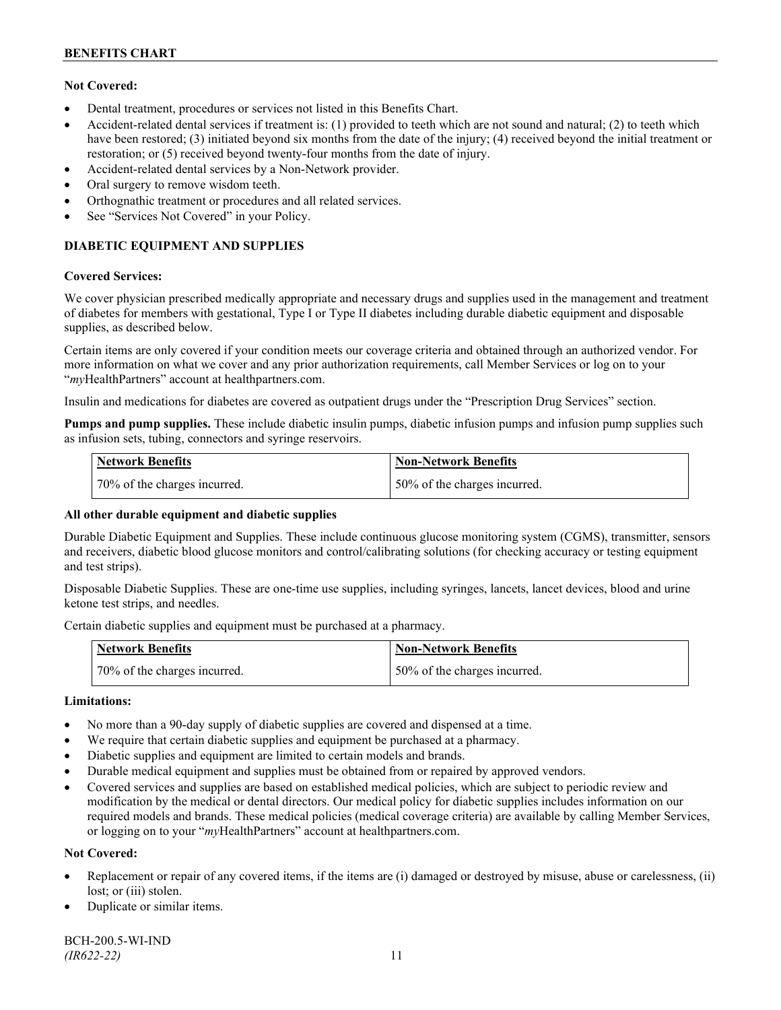# **Not Covered:**

- Dental treatment, procedures or services not listed in this Benefits Chart.
- Accident-related dental services if treatment is: (1) provided to teeth which are not sound and natural; (2) to teeth which have been restored; (3) initiated beyond six months from the date of the injury; (4) received beyond the initial treatment or restoration; or (5) received beyond twenty-four months from the date of injury.
- Accident-related dental services by a Non-Network provider.
- Oral surgery to remove wisdom teeth.
- Orthognathic treatment or procedures and all related services.
- See "Services Not Covered" in your Policy.

# **DIABETIC EQUIPMENT AND SUPPLIES**

#### **Covered Services:**

We cover physician prescribed medically appropriate and necessary drugs and supplies used in the management and treatment of diabetes for members with gestational, Type I or Type II diabetes including durable diabetic equipment and disposable supplies, as described below.

Certain items are only covered if your condition meets our coverage criteria and obtained through an authorized vendor. For more information on what we cover and any prior authorization requirements, call Member Services or log on to your "*my*HealthPartners" account at [healthpartners.com.](http://www.healthpartners.com/)

Insulin and medications for diabetes are covered as outpatient drugs under the "Prescription Drug Services" section.

**Pumps and pump supplies.** These include diabetic insulin pumps, diabetic infusion pumps and infusion pump supplies such as infusion sets, tubing, connectors and syringe reservoirs.

| <b>Network Benefits</b>      | <b>Non-Network Benefits</b>      |
|------------------------------|----------------------------------|
| 70% of the charges incurred. | $150\%$ of the charges incurred. |

# **All other durable equipment and diabetic supplies**

Durable Diabetic Equipment and Supplies. These include continuous glucose monitoring system (CGMS), transmitter, sensors and receivers, diabetic blood glucose monitors and control/calibrating solutions (for checking accuracy or testing equipment and test strips).

Disposable Diabetic Supplies. These are one-time use supplies, including syringes, lancets, lancet devices, blood and urine ketone test strips, and needles.

Certain diabetic supplies and equipment must be purchased at a pharmacy.

| <b>Network Benefits</b>      | <b>Non-Network Benefits</b>  |
|------------------------------|------------------------------|
| 70% of the charges incurred. | 50% of the charges incurred. |

# **Limitations:**

- No more than a 90-day supply of diabetic supplies are covered and dispensed at a time.
- We require that certain diabetic supplies and equipment be purchased at a pharmacy.
- Diabetic supplies and equipment are limited to certain models and brands.
- Durable medical equipment and supplies must be obtained from or repaired by approved vendors.
- Covered services and supplies are based on established medical policies, which are subject to periodic review and modification by the medical or dental directors. Our medical policy for diabetic supplies includes information on our required models and brands. These medical policies (medical coverage criteria) are available by calling Member Services, or logging on to your "*my*HealthPartners" account at healthpartners.com.

# **Not Covered:**

- Replacement or repair of any covered items, if the items are (i) damaged or destroyed by misuse, abuse or carelessness, (ii) lost; or (iii) stolen.
- Duplicate or similar items.

BCH-200.5-WI-IND *(IR622-22)* 11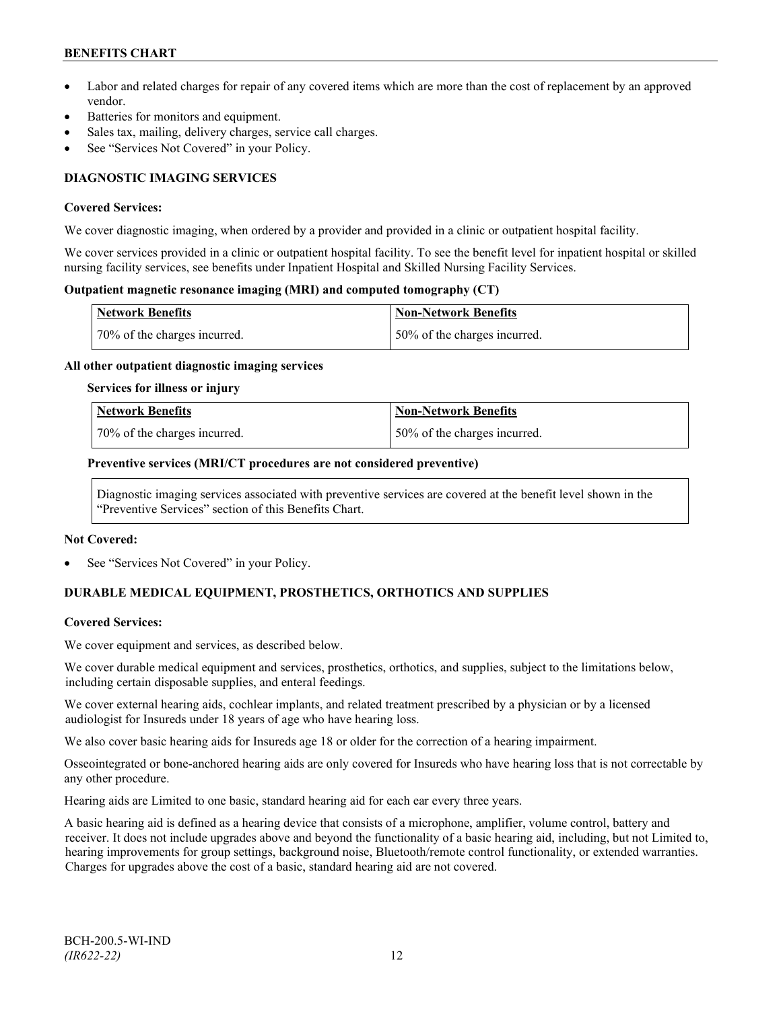# **BENEFITS CHART**

- Labor and related charges for repair of any covered items which are more than the cost of replacement by an approved vendor.
- Batteries for monitors and equipment.
- Sales tax, mailing, delivery charges, service call charges.
- See "Services Not Covered" in your Policy.

# **DIAGNOSTIC IMAGING SERVICES**

#### **Covered Services:**

We cover diagnostic imaging, when ordered by a provider and provided in a clinic or outpatient hospital facility.

We cover services provided in a clinic or outpatient hospital facility. To see the benefit level for inpatient hospital or skilled nursing facility services, see benefits under Inpatient Hospital and Skilled Nursing Facility Services.

#### **Outpatient magnetic resonance imaging (MRI) and computed tomography (CT)**

| <b>Network Benefits</b>      | <b>Non-Network Benefits</b>  |
|------------------------------|------------------------------|
| 70% of the charges incurred. | 50% of the charges incurred. |

#### **All other outpatient diagnostic imaging services**

#### **Services for illness or injury**

| <b>Network Benefits</b>      | <b>Non-Network Benefits</b>  |
|------------------------------|------------------------------|
| 70% of the charges incurred. | 50% of the charges incurred. |

#### **Preventive services (MRI/CT procedures are not considered preventive)**

Diagnostic imaging services associated with preventive services are covered at the benefit level shown in the "Preventive Services" section of this Benefits Chart.

#### **Not Covered:**

See "Services Not Covered" in your Policy.

# **DURABLE MEDICAL EQUIPMENT, PROSTHETICS, ORTHOTICS AND SUPPLIES**

# **Covered Services:**

We cover equipment and services, as described below.

We cover durable medical equipment and services, prosthetics, orthotics, and supplies, subject to the limitations below, including certain disposable supplies, and enteral feedings.

We cover external hearing aids, cochlear implants, and related treatment prescribed by a physician or by a licensed audiologist for Insureds under 18 years of age who have hearing loss.

We also cover basic hearing aids for Insureds age 18 or older for the correction of a hearing impairment.

Osseointegrated or bone-anchored hearing aids are only covered for Insureds who have hearing loss that is not correctable by any other procedure.

Hearing aids are Limited to one basic, standard hearing aid for each ear every three years.

A basic hearing aid is defined as a hearing device that consists of a microphone, amplifier, volume control, battery and receiver. It does not include upgrades above and beyond the functionality of a basic hearing aid, including, but not Limited to, hearing improvements for group settings, background noise, Bluetooth/remote control functionality, or extended warranties. Charges for upgrades above the cost of a basic, standard hearing aid are not covered.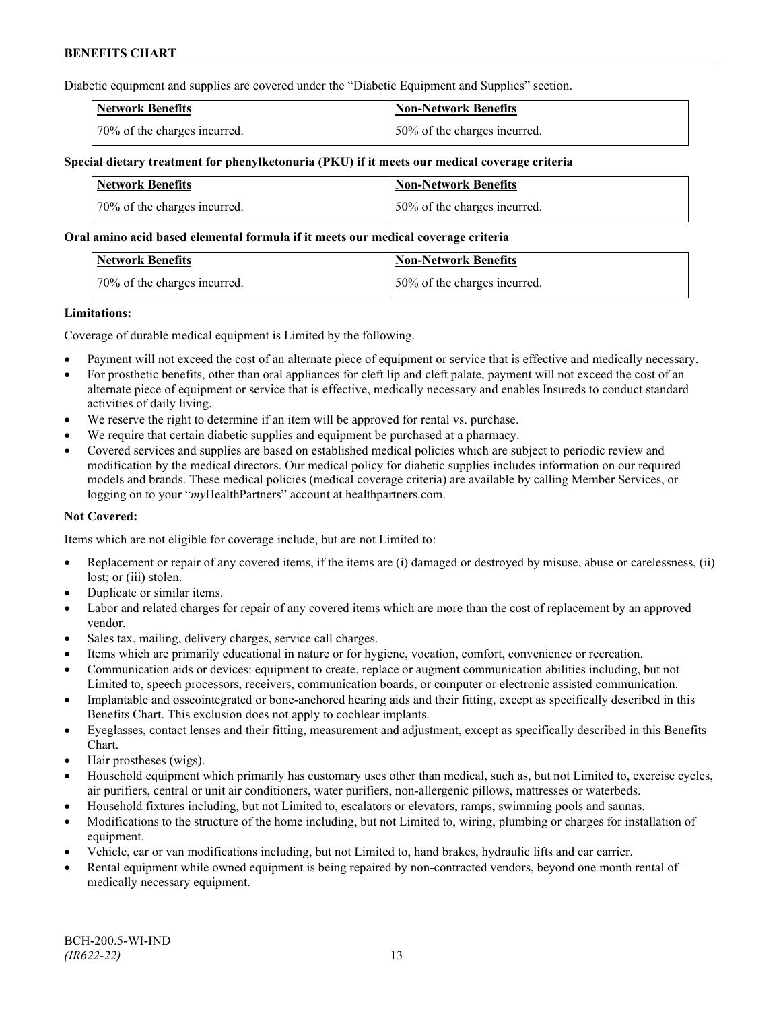Diabetic equipment and supplies are covered under the "Diabetic Equipment and Supplies" section.

| <b>Network Benefits</b>      | <b>Non-Network Benefits</b>  |
|------------------------------|------------------------------|
| 70% of the charges incurred. | 50% of the charges incurred. |

### **Special dietary treatment for phenylketonuria (PKU) if it meets our medical coverage criteria**

| Network Benefits             | <b>Non-Network Benefits</b>  |
|------------------------------|------------------------------|
| 70% of the charges incurred. | 50% of the charges incurred. |

#### **Oral amino acid based elemental formula if it meets our medical coverage criteria**

| <b>Network Benefits</b>      | Non-Network Benefits         |
|------------------------------|------------------------------|
| 70% of the charges incurred. | 50% of the charges incurred. |

#### **Limitations:**

Coverage of durable medical equipment is Limited by the following.

- Payment will not exceed the cost of an alternate piece of equipment or service that is effective and medically necessary.
- For prosthetic benefits, other than oral appliances for cleft lip and cleft palate, payment will not exceed the cost of an alternate piece of equipment or service that is effective, medically necessary and enables Insureds to conduct standard activities of daily living.
- We reserve the right to determine if an item will be approved for rental vs. purchase.
- We require that certain diabetic supplies and equipment be purchased at a pharmacy.
- Covered services and supplies are based on established medical policies which are subject to periodic review and modification by the medical directors. Our medical policy for diabetic supplies includes information on our required models and brands. These medical policies (medical coverage criteria) are available by calling Member Services, or logging on to your "*my*HealthPartners" account at [healthpartners.com.](http://www.healthpartners.com/)

# **Not Covered:**

Items which are not eligible for coverage include, but are not Limited to:

- Replacement or repair of any covered items, if the items are (i) damaged or destroyed by misuse, abuse or carelessness, (ii) lost; or (iii) stolen.
- Duplicate or similar items.
- Labor and related charges for repair of any covered items which are more than the cost of replacement by an approved vendor.
- Sales tax, mailing, delivery charges, service call charges.
- Items which are primarily educational in nature or for hygiene, vocation, comfort, convenience or recreation.
- Communication aids or devices: equipment to create, replace or augment communication abilities including, but not Limited to, speech processors, receivers, communication boards, or computer or electronic assisted communication.
- Implantable and osseointegrated or bone-anchored hearing aids and their fitting, except as specifically described in this Benefits Chart. This exclusion does not apply to cochlear implants.
- Eyeglasses, contact lenses and their fitting, measurement and adjustment, except as specifically described in this Benefits Chart.
- Hair prostheses (wigs).
- Household equipment which primarily has customary uses other than medical, such as, but not Limited to, exercise cycles, air purifiers, central or unit air conditioners, water purifiers, non-allergenic pillows, mattresses or waterbeds.
- Household fixtures including, but not Limited to, escalators or elevators, ramps, swimming pools and saunas.
- Modifications to the structure of the home including, but not Limited to, wiring, plumbing or charges for installation of equipment.
- Vehicle, car or van modifications including, but not Limited to, hand brakes, hydraulic lifts and car carrier.
- Rental equipment while owned equipment is being repaired by non-contracted vendors, beyond one month rental of medically necessary equipment.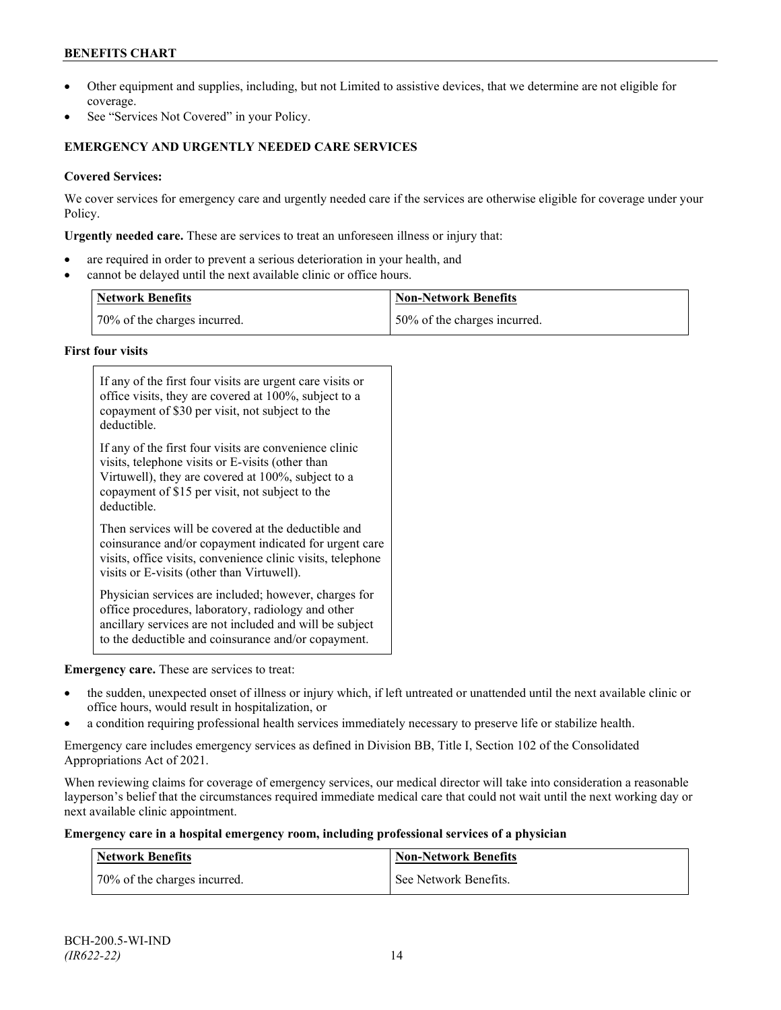# **BENEFITS CHART**

- Other equipment and supplies, including, but not Limited to assistive devices, that we determine are not eligible for coverage.
- See "Services Not Covered" in your Policy.

# **EMERGENCY AND URGENTLY NEEDED CARE SERVICES**

# **Covered Services:**

We cover services for emergency care and urgently needed care if the services are otherwise eligible for coverage under your Policy.

**Urgently needed care.** These are services to treat an unforeseen illness or injury that:

- are required in order to prevent a serious deterioration in your health, and
- cannot be delayed until the next available clinic or office hours.

| <b>Network Benefits</b>      | <b>Non-Network Benefits</b>  |
|------------------------------|------------------------------|
| 70% of the charges incurred. | 50% of the charges incurred. |

# **First four visits**

| If any of the first four visits are urgent care visits or<br>office visits, they are covered at 100%, subject to a<br>copayment of \$30 per visit, not subject to the<br>deductible.                                               |
|------------------------------------------------------------------------------------------------------------------------------------------------------------------------------------------------------------------------------------|
| If any of the first four visits are convenience clinic<br>visits, telephone visits or E-visits (other than<br>Virtuwell), they are covered at 100%, subject to a<br>copayment of \$15 per visit, not subject to the<br>deductible. |
| Then services will be covered at the deductible and<br>coinsurance and/or copayment indicated for urgent care<br>visits, office visits, convenience clinic visits, telephone<br>visits or E-visits (other than Virtuwell).         |
| Physician services are included; however, charges for<br>office procedures, laboratory, radiology and other<br>ancillary services are not included and will be subject<br>to the deductible and coinsurance and/or copayment.      |

# **Emergency care.** These are services to treat:

- the sudden, unexpected onset of illness or injury which, if left untreated or unattended until the next available clinic or office hours, would result in hospitalization, or
- a condition requiring professional health services immediately necessary to preserve life or stabilize health.

Emergency care includes emergency services as defined in Division BB, Title I, Section 102 of the Consolidated Appropriations Act of 2021.

When reviewing claims for coverage of emergency services, our medical director will take into consideration a reasonable layperson's belief that the circumstances required immediate medical care that could not wait until the next working day or next available clinic appointment.

#### **Emergency care in a hospital emergency room, including professional services of a physician**

| Network Benefits             | <b>Non-Network Benefits</b> |
|------------------------------|-----------------------------|
| 70% of the charges incurred. | See Network Benefits.       |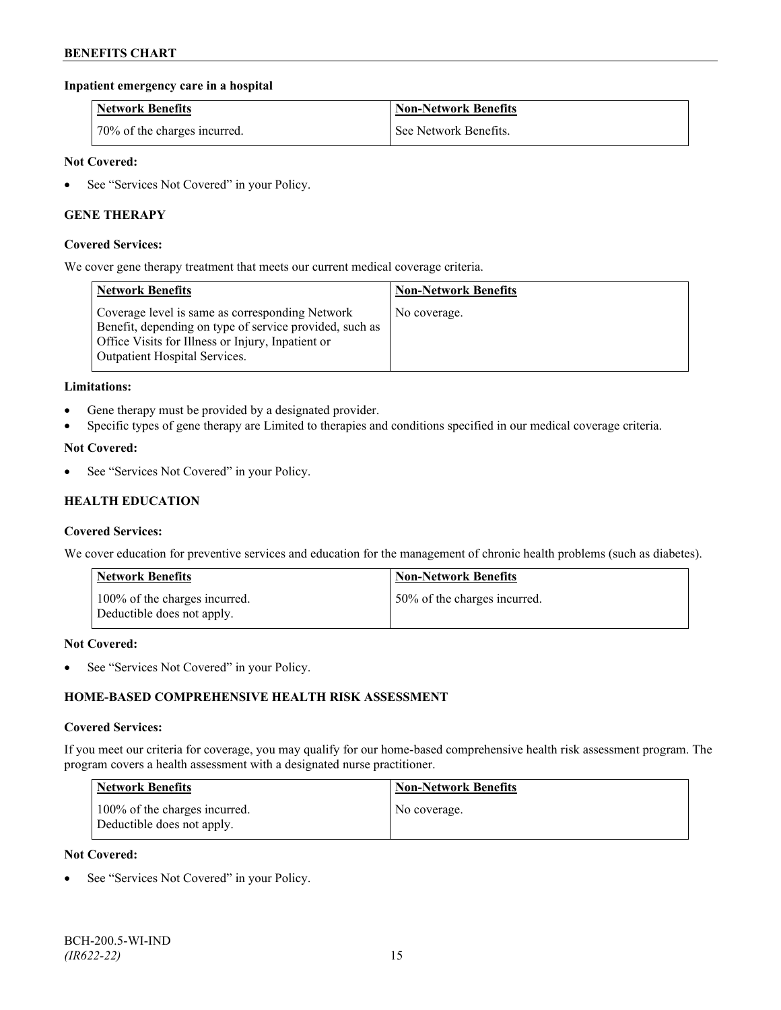# **Inpatient emergency care in a hospital**

| <b>Network Benefits</b>      | <b>Non-Network Benefits</b> |
|------------------------------|-----------------------------|
| 70% of the charges incurred. | See Network Benefits.       |

# **Not Covered:**

• See "Services Not Covered" in your Policy.

# **GENE THERAPY**

#### **Covered Services:**

We cover gene therapy treatment that meets our current medical coverage criteria.

| <b>Network Benefits</b>                                                                                                                                                                                 | <b>Non-Network Benefits</b> |
|---------------------------------------------------------------------------------------------------------------------------------------------------------------------------------------------------------|-----------------------------|
| Coverage level is same as corresponding Network<br>Benefit, depending on type of service provided, such as<br>Office Visits for Illness or Injury, Inpatient or<br><b>Outpatient Hospital Services.</b> | No coverage.                |

#### **Limitations:**

- Gene therapy must be provided by a designated provider.
- Specific types of gene therapy are Limited to therapies and conditions specified in our medical coverage criteria.

#### **Not Covered:**

See "Services Not Covered" in your Policy.

# **HEALTH EDUCATION**

#### **Covered Services:**

We cover education for preventive services and education for the management of chronic health problems (such as diabetes).

| <b>Network Benefits</b>                                     | <b>Non-Network Benefits</b>  |
|-------------------------------------------------------------|------------------------------|
| 100% of the charges incurred.<br>Deductible does not apply. | 50% of the charges incurred. |

#### **Not Covered:**

• See "Services Not Covered" in your Policy.

# **HOME-BASED COMPREHENSIVE HEALTH RISK ASSESSMENT**

#### **Covered Services:**

If you meet our criteria for coverage, you may qualify for our home-based comprehensive health risk assessment program. The program covers a health assessment with a designated nurse practitioner.

| <b>Network Benefits</b>                                     | <b>Non-Network Benefits</b> |
|-------------------------------------------------------------|-----------------------------|
| 100% of the charges incurred.<br>Deductible does not apply. | No coverage.                |

#### **Not Covered:**

See "Services Not Covered" in your Policy.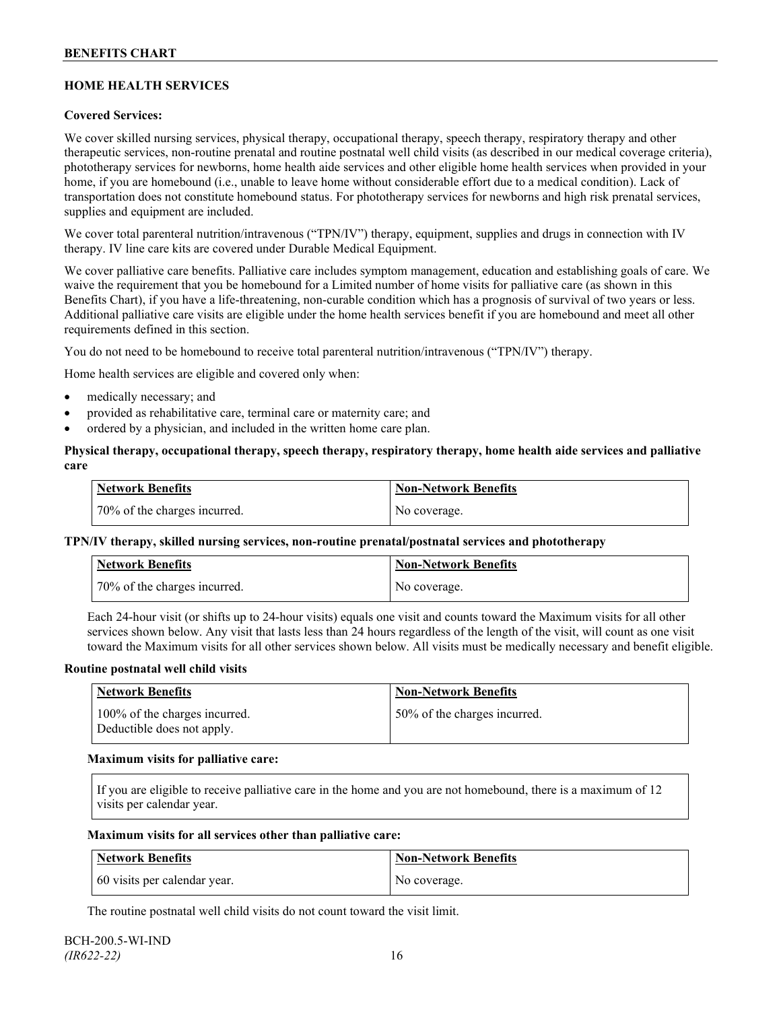# **HOME HEALTH SERVICES**

# **Covered Services:**

We cover skilled nursing services, physical therapy, occupational therapy, speech therapy, respiratory therapy and other therapeutic services, non-routine prenatal and routine postnatal well child visits (as described in our medical coverage criteria), phototherapy services for newborns, home health aide services and other eligible home health services when provided in your home, if you are homebound (i.e., unable to leave home without considerable effort due to a medical condition). Lack of transportation does not constitute homebound status. For phototherapy services for newborns and high risk prenatal services, supplies and equipment are included.

We cover total parenteral nutrition/intravenous ("TPN/IV") therapy, equipment, supplies and drugs in connection with IV therapy. IV line care kits are covered under Durable Medical Equipment.

We cover palliative care benefits. Palliative care includes symptom management, education and establishing goals of care. We waive the requirement that you be homebound for a Limited number of home visits for palliative care (as shown in this Benefits Chart), if you have a life-threatening, non-curable condition which has a prognosis of survival of two years or less. Additional palliative care visits are eligible under the home health services benefit if you are homebound and meet all other requirements defined in this section.

You do not need to be homebound to receive total parenteral nutrition/intravenous ("TPN/IV") therapy.

Home health services are eligible and covered only when:

- medically necessary; and
- provided as rehabilitative care, terminal care or maternity care; and
- ordered by a physician, and included in the written home care plan.

### **Physical therapy, occupational therapy, speech therapy, respiratory therapy, home health aide services and palliative care**

| <b>Network Benefits</b>      | <b>Non-Network Benefits</b> |
|------------------------------|-----------------------------|
| 70% of the charges incurred. | No coverage.                |

# **TPN/IV therapy, skilled nursing services, non-routine prenatal/postnatal services and phototherapy**

| <b>Network Benefits</b>      | <b>Non-Network Benefits</b> |
|------------------------------|-----------------------------|
| 70% of the charges incurred. | No coverage.                |

Each 24-hour visit (or shifts up to 24-hour visits) equals one visit and counts toward the Maximum visits for all other services shown below. Any visit that lasts less than 24 hours regardless of the length of the visit, will count as one visit toward the Maximum visits for all other services shown below. All visits must be medically necessary and benefit eligible.

#### **Routine postnatal well child visits**

| Network Benefits                                            | <b>Non-Network Benefits</b>  |
|-------------------------------------------------------------|------------------------------|
| 100% of the charges incurred.<br>Deductible does not apply. | 50% of the charges incurred. |

#### **Maximum visits for palliative care:**

If you are eligible to receive palliative care in the home and you are not homebound, there is a maximum of 12 visits per calendar year.

#### **Maximum visits for all services other than palliative care:**

| Network Benefits             | Non-Network Benefits |
|------------------------------|----------------------|
| 60 visits per calendar year. | No coverage.         |

The routine postnatal well child visits do not count toward the visit limit.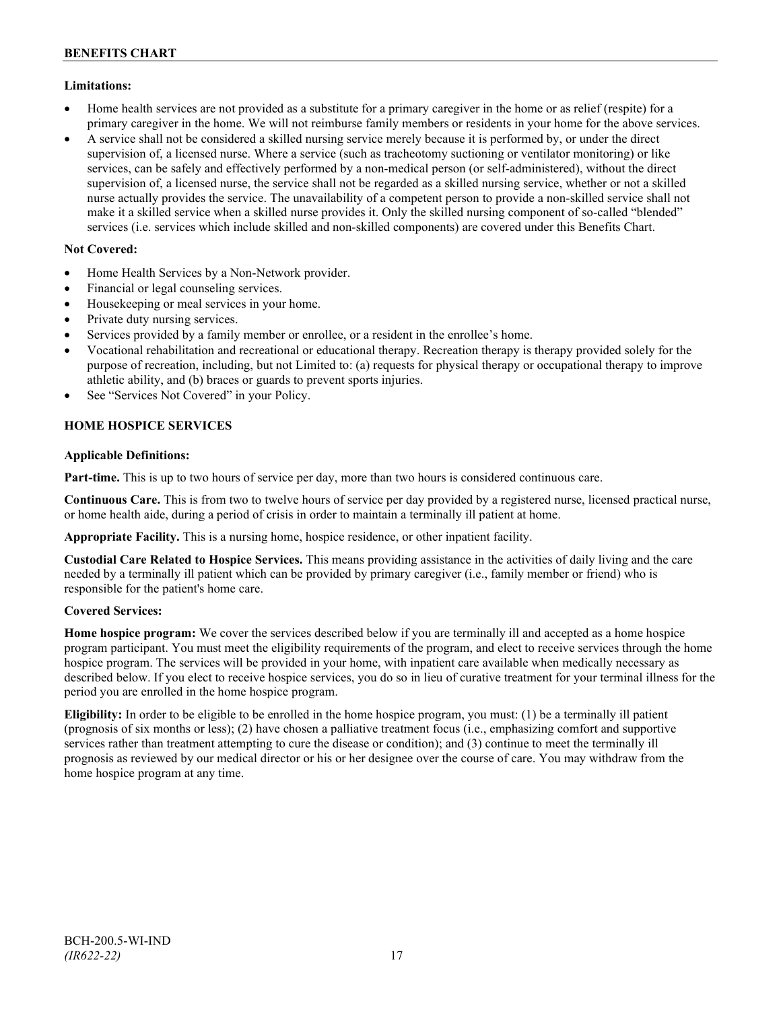# **Limitations:**

- Home health services are not provided as a substitute for a primary caregiver in the home or as relief (respite) for a primary caregiver in the home. We will not reimburse family members or residents in your home for the above services.
- A service shall not be considered a skilled nursing service merely because it is performed by, or under the direct supervision of, a licensed nurse. Where a service (such as tracheotomy suctioning or ventilator monitoring) or like services, can be safely and effectively performed by a non-medical person (or self-administered), without the direct supervision of, a licensed nurse, the service shall not be regarded as a skilled nursing service, whether or not a skilled nurse actually provides the service. The unavailability of a competent person to provide a non-skilled service shall not make it a skilled service when a skilled nurse provides it. Only the skilled nursing component of so-called "blended" services (i.e. services which include skilled and non-skilled components) are covered under this Benefits Chart.

# **Not Covered:**

- Home Health Services by a Non-Network provider.
- Financial or legal counseling services.
- Housekeeping or meal services in your home.
- Private duty nursing services.
- Services provided by a family member or enrollee, or a resident in the enrollee's home.
- Vocational rehabilitation and recreational or educational therapy. Recreation therapy is therapy provided solely for the purpose of recreation, including, but not Limited to: (a) requests for physical therapy or occupational therapy to improve athletic ability, and (b) braces or guards to prevent sports injuries.
- See "Services Not Covered" in your Policy.

# **HOME HOSPICE SERVICES**

# **Applicable Definitions:**

**Part-time.** This is up to two hours of service per day, more than two hours is considered continuous care.

**Continuous Care.** This is from two to twelve hours of service per day provided by a registered nurse, licensed practical nurse, or home health aide, during a period of crisis in order to maintain a terminally ill patient at home.

**Appropriate Facility.** This is a nursing home, hospice residence, or other inpatient facility.

**Custodial Care Related to Hospice Services.** This means providing assistance in the activities of daily living and the care needed by a terminally ill patient which can be provided by primary caregiver (i.e., family member or friend) who is responsible for the patient's home care.

# **Covered Services:**

**Home hospice program:** We cover the services described below if you are terminally ill and accepted as a home hospice program participant. You must meet the eligibility requirements of the program, and elect to receive services through the home hospice program. The services will be provided in your home, with inpatient care available when medically necessary as described below. If you elect to receive hospice services, you do so in lieu of curative treatment for your terminal illness for the period you are enrolled in the home hospice program.

**Eligibility:** In order to be eligible to be enrolled in the home hospice program, you must: (1) be a terminally ill patient (prognosis of six months or less); (2) have chosen a palliative treatment focus (i.e., emphasizing comfort and supportive services rather than treatment attempting to cure the disease or condition); and (3) continue to meet the terminally ill prognosis as reviewed by our medical director or his or her designee over the course of care. You may withdraw from the home hospice program at any time.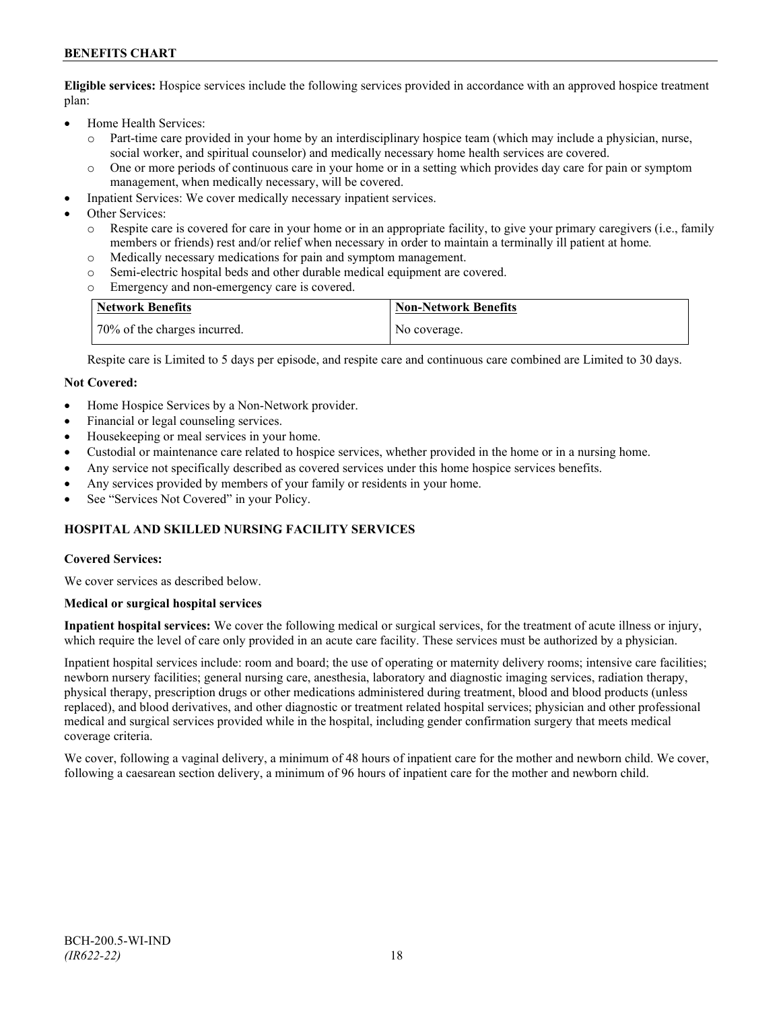# **BENEFITS CHART**

**Eligible services:** Hospice services include the following services provided in accordance with an approved hospice treatment plan:

- Home Health Services:
	- o Part-time care provided in your home by an interdisciplinary hospice team (which may include a physician, nurse, social worker, and spiritual counselor) and medically necessary home health services are covered.
	- o One or more periods of continuous care in your home or in a setting which provides day care for pain or symptom management, when medically necessary, will be covered.
- Inpatient Services: We cover medically necessary inpatient services.
- Other Services:
	- Respite care is covered for care in your home or in an appropriate facility, to give your primary caregivers (i.e., family members or friends) rest and/or relief when necessary in order to maintain a terminally ill patient at home*.*
	- o Medically necessary medications for pain and symptom management.
	- o Semi-electric hospital beds and other durable medical equipment are covered.
	- Emergency and non-emergency care is covered.

| Network Benefits             | <b>Non-Network Benefits</b> |
|------------------------------|-----------------------------|
| 70% of the charges incurred. | No coverage.                |

Respite care is Limited to 5 days per episode, and respite care and continuous care combined are Limited to 30 days.

#### **Not Covered:**

- Home Hospice Services by a Non-Network provider.
- Financial or legal counseling services.
- Housekeeping or meal services in your home.
- Custodial or maintenance care related to hospice services, whether provided in the home or in a nursing home.
- Any service not specifically described as covered services under this home hospice services benefits.
- Any services provided by members of your family or residents in your home.
- See "Services Not Covered" in your Policy.

# **HOSPITAL AND SKILLED NURSING FACILITY SERVICES**

#### **Covered Services:**

We cover services as described below.

#### **Medical or surgical hospital services**

**Inpatient hospital services:** We cover the following medical or surgical services, for the treatment of acute illness or injury, which require the level of care only provided in an acute care facility. These services must be authorized by a physician.

Inpatient hospital services include: room and board; the use of operating or maternity delivery rooms; intensive care facilities; newborn nursery facilities; general nursing care, anesthesia, laboratory and diagnostic imaging services, radiation therapy, physical therapy, prescription drugs or other medications administered during treatment, blood and blood products (unless replaced), and blood derivatives, and other diagnostic or treatment related hospital services; physician and other professional medical and surgical services provided while in the hospital, including gender confirmation surgery that meets medical coverage criteria.

We cover, following a vaginal delivery, a minimum of 48 hours of inpatient care for the mother and newborn child. We cover, following a caesarean section delivery, a minimum of 96 hours of inpatient care for the mother and newborn child.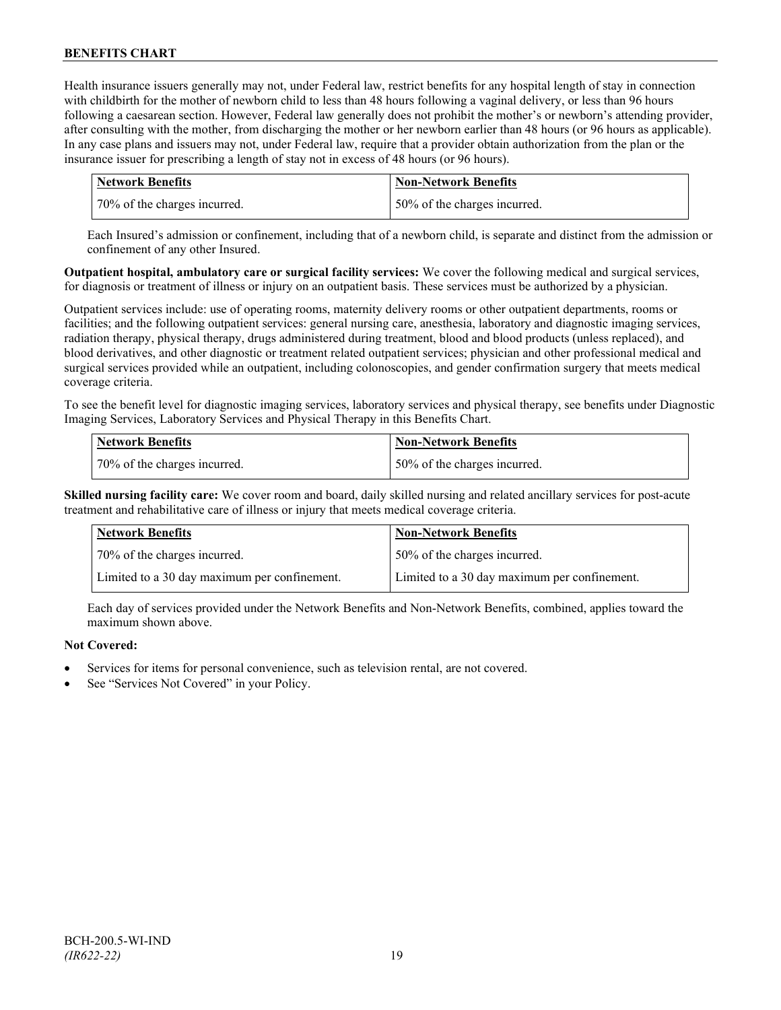Health insurance issuers generally may not, under Federal law, restrict benefits for any hospital length of stay in connection with childbirth for the mother of newborn child to less than 48 hours following a vaginal delivery, or less than 96 hours following a caesarean section. However, Federal law generally does not prohibit the mother's or newborn's attending provider, after consulting with the mother, from discharging the mother or her newborn earlier than 48 hours (or 96 hours as applicable). In any case plans and issuers may not, under Federal law, require that a provider obtain authorization from the plan or the insurance issuer for prescribing a length of stay not in excess of 48 hours (or 96 hours).

| Network Benefits              | <b>Non-Network Benefits</b>  |
|-------------------------------|------------------------------|
| 170% of the charges incurred. | 50% of the charges incurred. |

Each Insured's admission or confinement, including that of a newborn child, is separate and distinct from the admission or confinement of any other Insured.

**Outpatient hospital, ambulatory care or surgical facility services:** We cover the following medical and surgical services, for diagnosis or treatment of illness or injury on an outpatient basis. These services must be authorized by a physician.

Outpatient services include: use of operating rooms, maternity delivery rooms or other outpatient departments, rooms or facilities; and the following outpatient services: general nursing care, anesthesia, laboratory and diagnostic imaging services, radiation therapy, physical therapy, drugs administered during treatment, blood and blood products (unless replaced), and blood derivatives, and other diagnostic or treatment related outpatient services; physician and other professional medical and surgical services provided while an outpatient, including colonoscopies, and gender confirmation surgery that meets medical coverage criteria.

To see the benefit level for diagnostic imaging services, laboratory services and physical therapy, see benefits under Diagnostic Imaging Services, Laboratory Services and Physical Therapy in this Benefits Chart.

| <b>Network Benefits</b>      | <b>Non-Network Benefits</b>  |
|------------------------------|------------------------------|
| 70% of the charges incurred. | 50% of the charges incurred. |

**Skilled nursing facility care:** We cover room and board, daily skilled nursing and related ancillary services for post-acute treatment and rehabilitative care of illness or injury that meets medical coverage criteria.

| <b>Network Benefits</b>                      | <b>Non-Network Benefits</b>                  |
|----------------------------------------------|----------------------------------------------|
| 70% of the charges incurred.                 | 50% of the charges incurred.                 |
| Limited to a 30 day maximum per confinement. | Limited to a 30 day maximum per confinement. |

Each day of services provided under the Network Benefits and Non-Network Benefits, combined, applies toward the maximum shown above.

# **Not Covered:**

- Services for items for personal convenience, such as television rental, are not covered.
- See "Services Not Covered" in your Policy.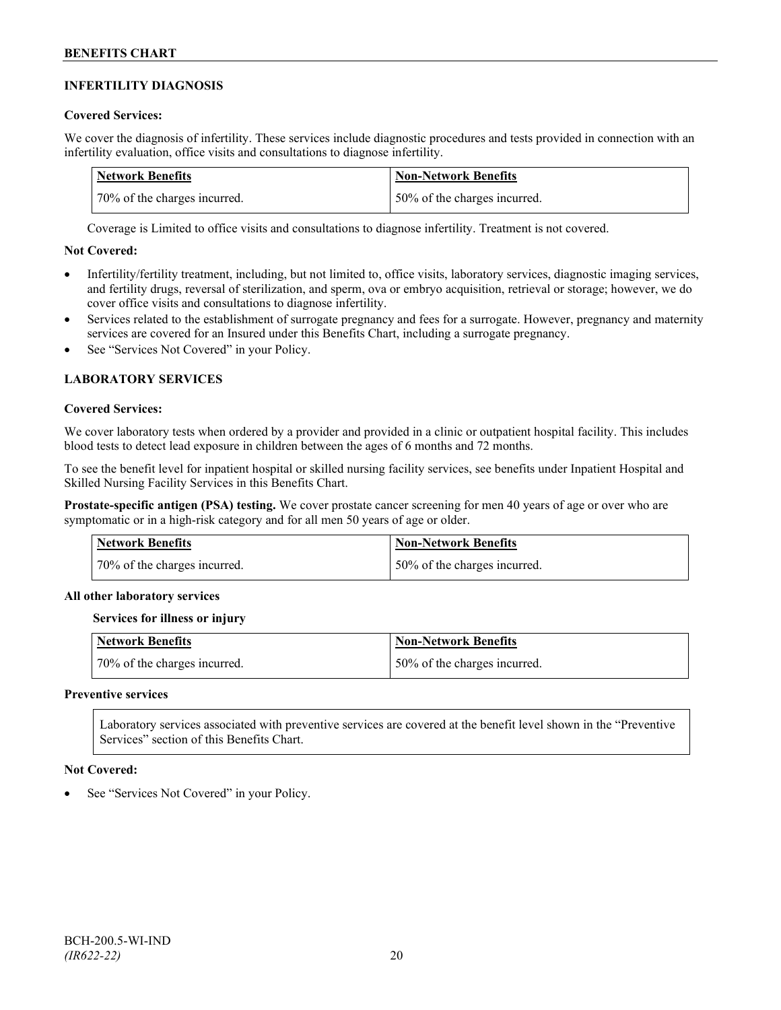# **INFERTILITY DIAGNOSIS**

# **Covered Services:**

We cover the diagnosis of infertility. These services include diagnostic procedures and tests provided in connection with an infertility evaluation, office visits and consultations to diagnose infertility.

| Network Benefits             | <b>Non-Network Benefits</b>  |
|------------------------------|------------------------------|
| 70% of the charges incurred. | 50% of the charges incurred. |

Coverage is Limited to office visits and consultations to diagnose infertility. Treatment is not covered.

# **Not Covered:**

- Infertility/fertility treatment, including, but not limited to, office visits, laboratory services, diagnostic imaging services, and fertility drugs, reversal of sterilization, and sperm, ova or embryo acquisition, retrieval or storage; however, we do cover office visits and consultations to diagnose infertility.
- Services related to the establishment of surrogate pregnancy and fees for a surrogate. However, pregnancy and maternity services are covered for an Insured under this Benefits Chart, including a surrogate pregnancy.
- See "Services Not Covered" in your Policy.

# **LABORATORY SERVICES**

#### **Covered Services:**

We cover laboratory tests when ordered by a provider and provided in a clinic or outpatient hospital facility. This includes blood tests to detect lead exposure in children between the ages of 6 months and 72 months.

To see the benefit level for inpatient hospital or skilled nursing facility services, see benefits under Inpatient Hospital and Skilled Nursing Facility Services in this Benefits Chart.

**Prostate-specific antigen (PSA) testing.** We cover prostate cancer screening for men 40 years of age or over who are symptomatic or in a high-risk category and for all men 50 years of age or older.

| Network Benefits             | Non-Network Benefits         |
|------------------------------|------------------------------|
| 70% of the charges incurred. | 50% of the charges incurred. |

# **All other laboratory services**

# **Services for illness or injury**

| <b>Network Benefits</b>      | <b>Non-Network Benefits</b>  |
|------------------------------|------------------------------|
| 70% of the charges incurred. | 50% of the charges incurred. |

### **Preventive services**

Laboratory services associated with preventive services are covered at the benefit level shown in the "Preventive Services" section of this Benefits Chart.

# **Not Covered:**

See "Services Not Covered" in your Policy.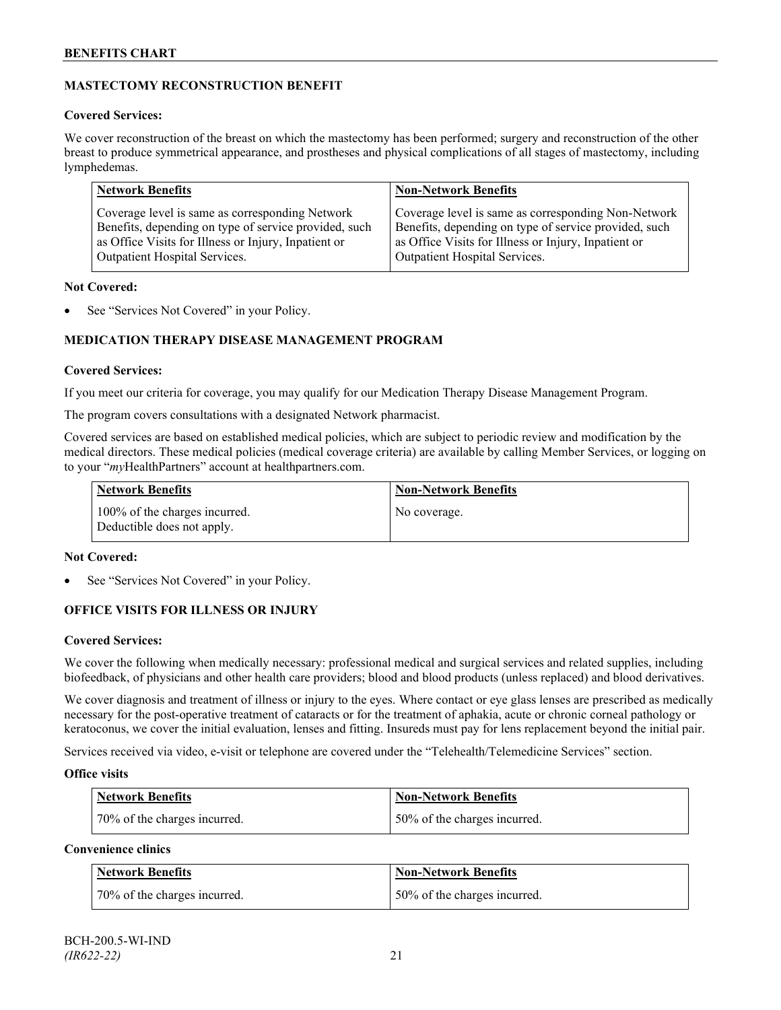# **MASTECTOMY RECONSTRUCTION BENEFIT**

# **Covered Services:**

We cover reconstruction of the breast on which the mastectomy has been performed; surgery and reconstruction of the other breast to produce symmetrical appearance, and prostheses and physical complications of all stages of mastectomy, including lymphedemas.

| <b>Network Benefits</b>                               | <b>Non-Network Benefits</b>                           |
|-------------------------------------------------------|-------------------------------------------------------|
| Coverage level is same as corresponding Network       | Coverage level is same as corresponding Non-Network   |
| Benefits, depending on type of service provided, such | Benefits, depending on type of service provided, such |
| as Office Visits for Illness or Injury, Inpatient or  | as Office Visits for Illness or Injury, Inpatient or  |
| Outpatient Hospital Services.                         | Outpatient Hospital Services.                         |

# **Not Covered:**

See "Services Not Covered" in your Policy.

# **MEDICATION THERAPY DISEASE MANAGEMENT PROGRAM**

# **Covered Services:**

If you meet our criteria for coverage, you may qualify for our Medication Therapy Disease Management Program.

The program covers consultations with a designated Network pharmacist.

Covered services are based on established medical policies, which are subject to periodic review and modification by the medical directors. These medical policies (medical coverage criteria) are available by calling Member Services, or logging on to your "*my*HealthPartners" account at [healthpartners.com.](http://www.healthpartners.com/)

| <b>Network Benefits</b>                                     | <b>Non-Network Benefits</b> |
|-------------------------------------------------------------|-----------------------------|
| 100% of the charges incurred.<br>Deductible does not apply. | No coverage.                |

# **Not Covered:**

See "Services Not Covered" in your Policy.

# **OFFICE VISITS FOR ILLNESS OR INJURY**

# **Covered Services:**

We cover the following when medically necessary: professional medical and surgical services and related supplies, including biofeedback, of physicians and other health care providers; blood and blood products (unless replaced) and blood derivatives.

We cover diagnosis and treatment of illness or injury to the eyes. Where contact or eye glass lenses are prescribed as medically necessary for the post-operative treatment of cataracts or for the treatment of aphakia, acute or chronic corneal pathology or keratoconus, we cover the initial evaluation, lenses and fitting. Insureds must pay for lens replacement beyond the initial pair.

Services received via video, e-visit or telephone are covered under the "Telehealth/Telemedicine Services" section.

# **Office visits**

| Network Benefits             | <b>Non-Network Benefits</b>  |
|------------------------------|------------------------------|
| 70% of the charges incurred. | 50% of the charges incurred. |

# **Convenience clinics**

| <b>Network Benefits</b>      | <b>Non-Network Benefits</b>  |
|------------------------------|------------------------------|
| 70% of the charges incurred. | 50% of the charges incurred. |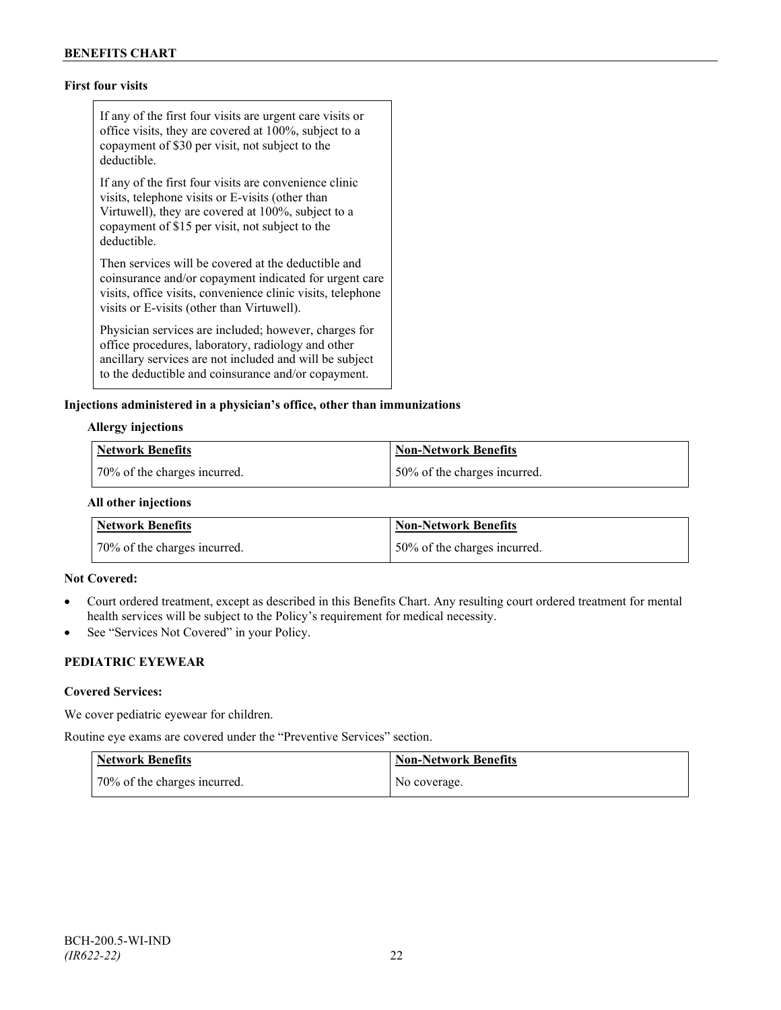# **First four visits**

If any of the first four visits are urgent care visits or office visits, they are covered at 100%, subject to a copayment of \$30 per visit, not subject to the deductible.

If any of the first four visits are convenience clinic visits, telephone visits or E-visits (other than Virtuwell), they are covered at 100%, subject to a copayment of \$15 per visit, not subject to the deductible.

Then services will be covered at the deductible and coinsurance and/or copayment indicated for urgent care visits, office visits, convenience clinic visits, telephone visits or E-visits (other than Virtuwell).

Physician services are included; however, charges for office procedures, laboratory, radiology and other ancillary services are not included and will be subject to the deductible and coinsurance and/or copayment.

#### **Injections administered in a physician's office, other than immunizations**

#### **Allergy injections**

| <b>Network Benefits</b>      | Non-Network Benefits         |
|------------------------------|------------------------------|
| 70% of the charges incurred. | 50% of the charges incurred. |

#### **All other injections**

| Network Benefits             | <b>Non-Network Benefits</b>  |
|------------------------------|------------------------------|
| 70% of the charges incurred. | 50% of the charges incurred. |

#### **Not Covered:**

- Court ordered treatment, except as described in this Benefits Chart. Any resulting court ordered treatment for mental health services will be subject to the Policy's requirement for medical necessity.
- See "Services Not Covered" in your Policy.

# **PEDIATRIC EYEWEAR**

#### **Covered Services:**

We cover pediatric eyewear for children.

Routine eye exams are covered under the "Preventive Services" section.

| <b>Network Benefits</b>      | <b>Non-Network Benefits</b> |
|------------------------------|-----------------------------|
| 70% of the charges incurred. | No coverage.                |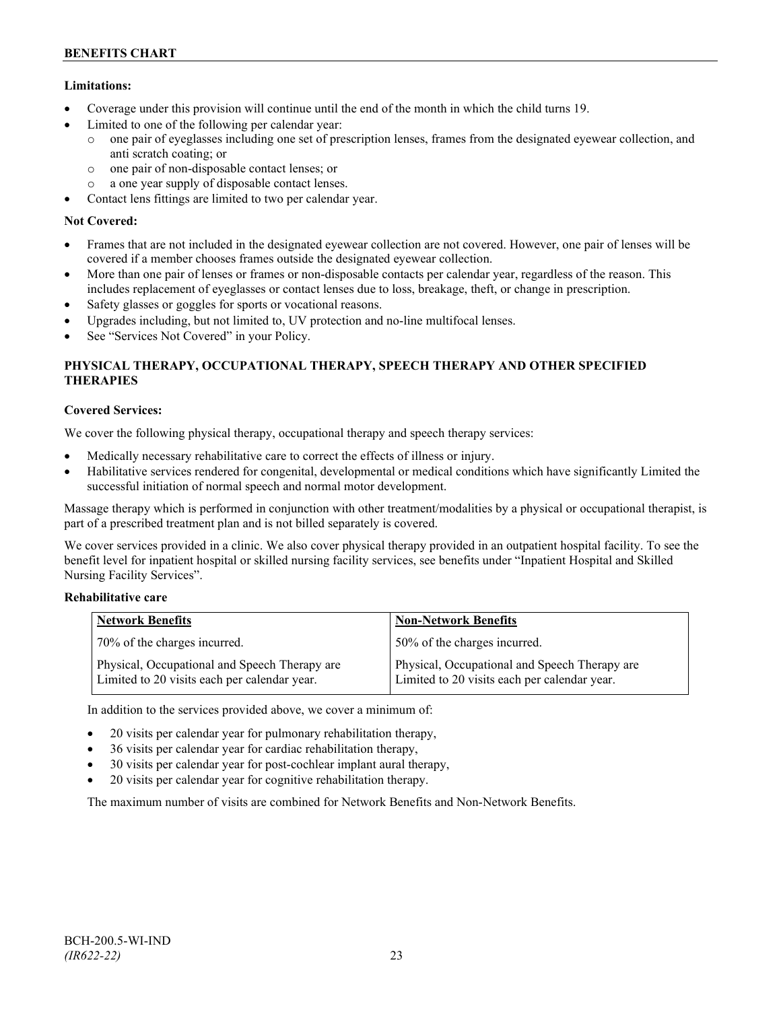# **Limitations:**

- Coverage under this provision will continue until the end of the month in which the child turns 19.
- Limited to one of the following per calendar year:
	- o one pair of eyeglasses including one set of prescription lenses, frames from the designated eyewear collection, and anti scratch coating; or
	- o one pair of non-disposable contact lenses; or
	- o a one year supply of disposable contact lenses.
- Contact lens fittings are limited to two per calendar year.

# **Not Covered:**

- Frames that are not included in the designated eyewear collection are not covered. However, one pair of lenses will be covered if a member chooses frames outside the designated eyewear collection.
- More than one pair of lenses or frames or non-disposable contacts per calendar year, regardless of the reason. This includes replacement of eyeglasses or contact lenses due to loss, breakage, theft, or change in prescription.
- Safety glasses or goggles for sports or vocational reasons.
- Upgrades including, but not limited to, UV protection and no-line multifocal lenses.
- See "Services Not Covered" in your Policy.

# **PHYSICAL THERAPY, OCCUPATIONAL THERAPY, SPEECH THERAPY AND OTHER SPECIFIED THERAPIES**

# **Covered Services:**

We cover the following physical therapy, occupational therapy and speech therapy services:

- Medically necessary rehabilitative care to correct the effects of illness or injury.
- Habilitative services rendered for congenital, developmental or medical conditions which have significantly Limited the successful initiation of normal speech and normal motor development.

Massage therapy which is performed in conjunction with other treatment/modalities by a physical or occupational therapist, is part of a prescribed treatment plan and is not billed separately is covered.

We cover services provided in a clinic. We also cover physical therapy provided in an outpatient hospital facility. To see the benefit level for inpatient hospital or skilled nursing facility services, see benefits under "Inpatient Hospital and Skilled Nursing Facility Services".

# **Rehabilitative care**

| <b>Network Benefits</b>                                                                       | <b>Non-Network Benefits</b>                                                                   |
|-----------------------------------------------------------------------------------------------|-----------------------------------------------------------------------------------------------|
| 70% of the charges incurred.                                                                  | 50% of the charges incurred.                                                                  |
| Physical, Occupational and Speech Therapy are<br>Limited to 20 visits each per calendar year. | Physical, Occupational and Speech Therapy are<br>Limited to 20 visits each per calendar year. |

In addition to the services provided above, we cover a minimum of:

- 20 visits per calendar year for pulmonary rehabilitation therapy,
- 36 visits per calendar year for cardiac rehabilitation therapy,
- 30 visits per calendar year for post-cochlear implant aural therapy,
- 20 visits per calendar year for cognitive rehabilitation therapy.

The maximum number of visits are combined for Network Benefits and Non-Network Benefits.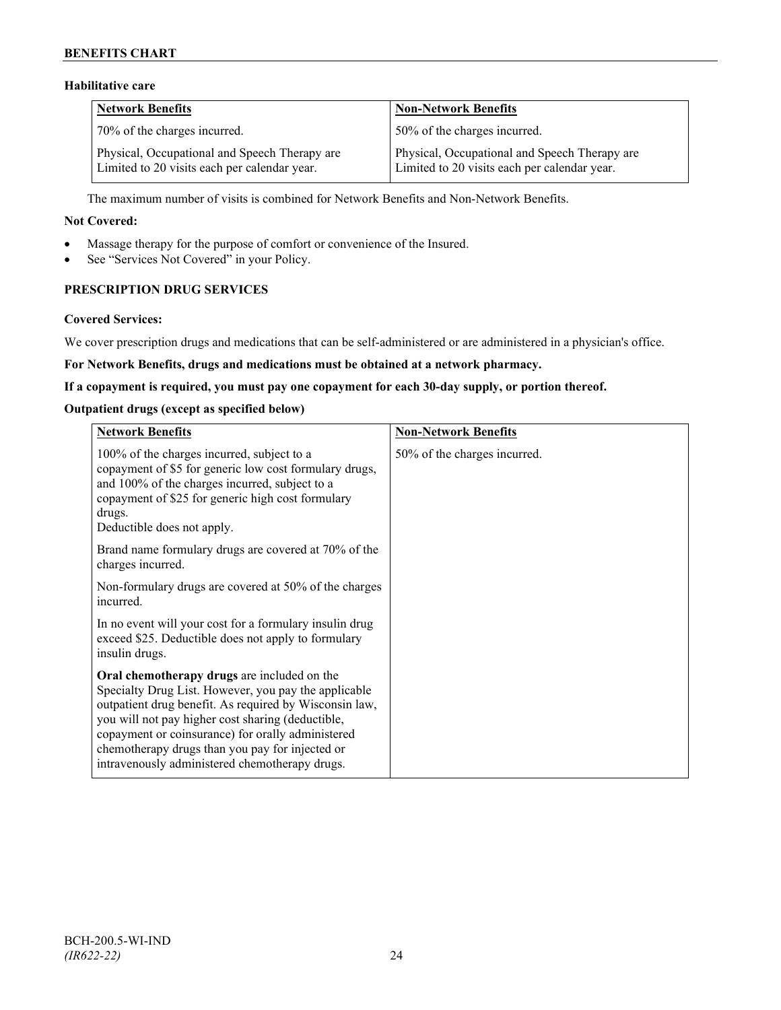# **BENEFITS CHART**

# **Habilitative care**

| <b>Network Benefits</b>                                                                       | <b>Non-Network Benefits</b>                                                                   |
|-----------------------------------------------------------------------------------------------|-----------------------------------------------------------------------------------------------|
| 70% of the charges incurred.                                                                  | 50% of the charges incurred.                                                                  |
| Physical, Occupational and Speech Therapy are<br>Limited to 20 visits each per calendar year. | Physical, Occupational and Speech Therapy are<br>Limited to 20 visits each per calendar year. |

The maximum number of visits is combined for Network Benefits and Non-Network Benefits.

#### **Not Covered:**

- Massage therapy for the purpose of comfort or convenience of the Insured.
- See "Services Not Covered" in your Policy.

# **PRESCRIPTION DRUG SERVICES**

#### **Covered Services:**

We cover prescription drugs and medications that can be self-administered or are administered in a physician's office.

### **For Network Benefits, drugs and medications must be obtained at a network pharmacy.**

#### **If a copayment is required, you must pay one copayment for each 30-day supply, or portion thereof.**

### **Outpatient drugs (except as specified below)**

| <b>Network Benefits</b>                                                                                                                                                                                                                                                                                                                                                      | <b>Non-Network Benefits</b>  |
|------------------------------------------------------------------------------------------------------------------------------------------------------------------------------------------------------------------------------------------------------------------------------------------------------------------------------------------------------------------------------|------------------------------|
| 100% of the charges incurred, subject to a<br>copayment of \$5 for generic low cost formulary drugs,<br>and 100% of the charges incurred, subject to a<br>copayment of \$25 for generic high cost formulary<br>drugs.<br>Deductible does not apply.                                                                                                                          | 50% of the charges incurred. |
| Brand name formulary drugs are covered at 70% of the<br>charges incurred.                                                                                                                                                                                                                                                                                                    |                              |
| Non-formulary drugs are covered at 50% of the charges<br>incurred.                                                                                                                                                                                                                                                                                                           |                              |
| In no event will your cost for a formulary insulin drug<br>exceed \$25. Deductible does not apply to formulary<br>insulin drugs.                                                                                                                                                                                                                                             |                              |
| Oral chemotherapy drugs are included on the<br>Specialty Drug List. However, you pay the applicable<br>outpatient drug benefit. As required by Wisconsin law,<br>you will not pay higher cost sharing (deductible,<br>copayment or coinsurance) for orally administered<br>chemotherapy drugs than you pay for injected or<br>intravenously administered chemotherapy drugs. |                              |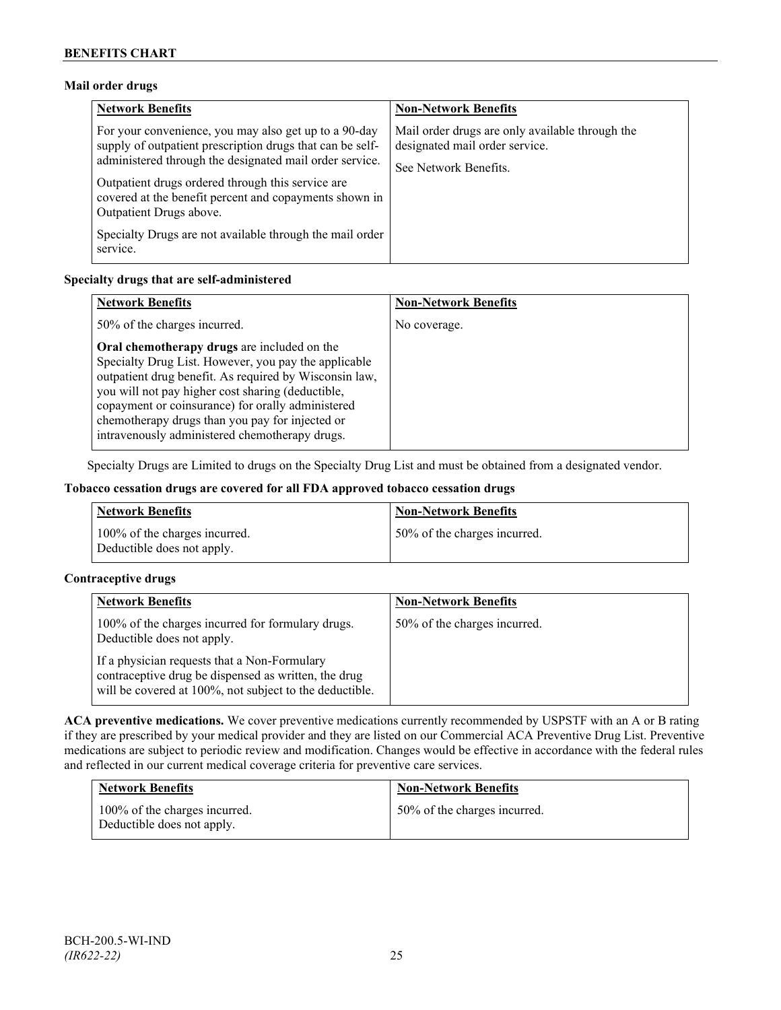# **Mail order drugs**

| <b>Network Benefits</b>                                                                                                                                                                                                                                                                                                 | <b>Non-Network Benefits</b>                                                                                |
|-------------------------------------------------------------------------------------------------------------------------------------------------------------------------------------------------------------------------------------------------------------------------------------------------------------------------|------------------------------------------------------------------------------------------------------------|
| For your convenience, you may also get up to a 90-day<br>supply of outpatient prescription drugs that can be self-<br>administered through the designated mail order service.<br>Outpatient drugs ordered through this service are<br>covered at the benefit percent and copayments shown in<br>Outpatient Drugs above. | Mail order drugs are only available through the<br>designated mail order service.<br>See Network Benefits. |
| Specialty Drugs are not available through the mail order<br>service.                                                                                                                                                                                                                                                    |                                                                                                            |

# **Specialty drugs that are self-administered**

| <b>Network Benefits</b>                                                                                                                                                                                                                                                                                                                                                      | <b>Non-Network Benefits</b> |
|------------------------------------------------------------------------------------------------------------------------------------------------------------------------------------------------------------------------------------------------------------------------------------------------------------------------------------------------------------------------------|-----------------------------|
| 50% of the charges incurred.                                                                                                                                                                                                                                                                                                                                                 | No coverage.                |
| Oral chemotherapy drugs are included on the<br>Specialty Drug List. However, you pay the applicable<br>outpatient drug benefit. As required by Wisconsin law,<br>you will not pay higher cost sharing (deductible,<br>copayment or coinsurance) for orally administered<br>chemotherapy drugs than you pay for injected or<br>intravenously administered chemotherapy drugs. |                             |

Specialty Drugs are Limited to drugs on the Specialty Drug List and must be obtained from a designated vendor.

# **Tobacco cessation drugs are covered for all FDA approved tobacco cessation drugs**

| <b>Network Benefits</b>                                     | <b>Non-Network Benefits</b>  |
|-------------------------------------------------------------|------------------------------|
| 100% of the charges incurred.<br>Deductible does not apply. | 50% of the charges incurred. |

# **Contraceptive drugs**

| <b>Network Benefits</b>                                                                                                                                         | <b>Non-Network Benefits</b>  |
|-----------------------------------------------------------------------------------------------------------------------------------------------------------------|------------------------------|
| 100% of the charges incurred for formulary drugs.<br>Deductible does not apply.                                                                                 | 50% of the charges incurred. |
| If a physician requests that a Non-Formulary<br>contraceptive drug be dispensed as written, the drug<br>will be covered at 100%, not subject to the deductible. |                              |

**ACA preventive medications.** We cover preventive medications currently recommended by USPSTF with an A or B rating if they are prescribed by your medical provider and they are listed on our Commercial ACA Preventive Drug List. Preventive medications are subject to periodic review and modification. Changes would be effective in accordance with the federal rules and reflected in our current medical coverage criteria for preventive care services.

| <b>Network Benefits</b>                                     | <b>Non-Network Benefits</b>  |
|-------------------------------------------------------------|------------------------------|
| 100% of the charges incurred.<br>Deductible does not apply. | 50% of the charges incurred. |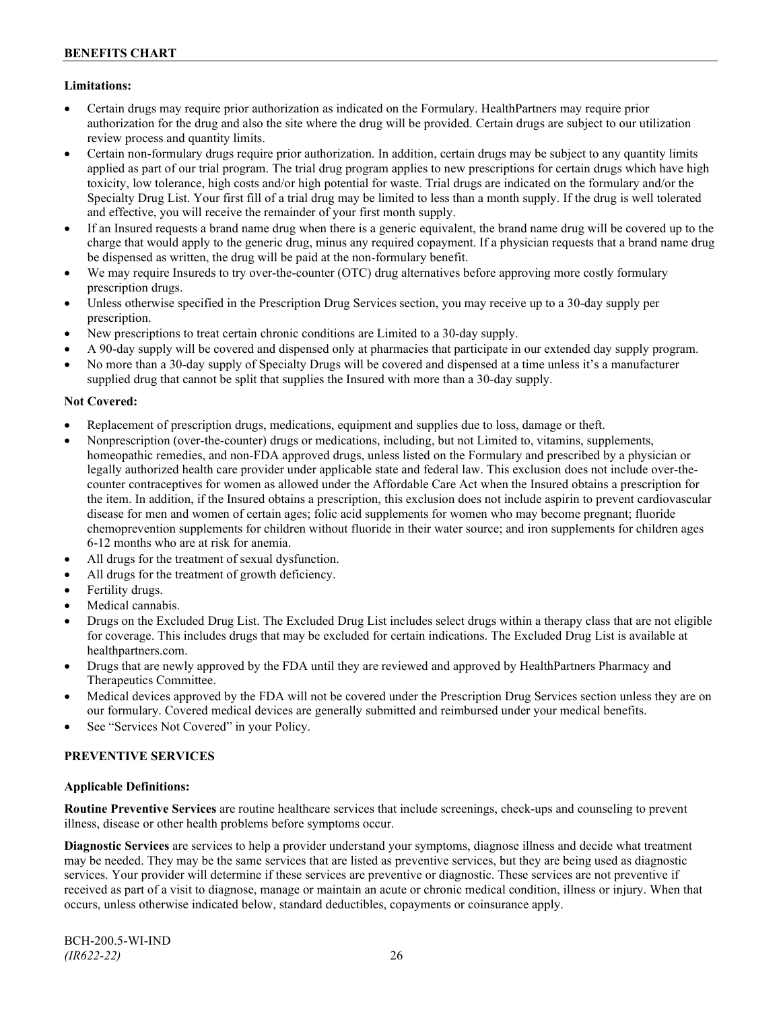# **Limitations:**

- Certain drugs may require prior authorization as indicated on the Formulary. HealthPartners may require prior authorization for the drug and also the site where the drug will be provided. Certain drugs are subject to our utilization review process and quantity limits.
- Certain non-formulary drugs require prior authorization. In addition, certain drugs may be subject to any quantity limits applied as part of our trial program. The trial drug program applies to new prescriptions for certain drugs which have high toxicity, low tolerance, high costs and/or high potential for waste. Trial drugs are indicated on the formulary and/or the Specialty Drug List. Your first fill of a trial drug may be limited to less than a month supply. If the drug is well tolerated and effective, you will receive the remainder of your first month supply.
- If an Insured requests a brand name drug when there is a generic equivalent, the brand name drug will be covered up to the charge that would apply to the generic drug, minus any required copayment. If a physician requests that a brand name drug be dispensed as written, the drug will be paid at the non-formulary benefit.
- We may require Insureds to try over-the-counter (OTC) drug alternatives before approving more costly formulary prescription drugs.
- Unless otherwise specified in the Prescription Drug Services section, you may receive up to a 30-day supply per prescription.
- New prescriptions to treat certain chronic conditions are Limited to a 30-day supply.
- A 90-day supply will be covered and dispensed only at pharmacies that participate in our extended day supply program.
- No more than a 30-day supply of Specialty Drugs will be covered and dispensed at a time unless it's a manufacturer supplied drug that cannot be split that supplies the Insured with more than a 30-day supply.

# **Not Covered:**

- Replacement of prescription drugs, medications, equipment and supplies due to loss, damage or theft.
- Nonprescription (over-the-counter) drugs or medications, including, but not Limited to, vitamins, supplements, homeopathic remedies, and non-FDA approved drugs, unless listed on the Formulary and prescribed by a physician or legally authorized health care provider under applicable state and federal law. This exclusion does not include over-thecounter contraceptives for women as allowed under the Affordable Care Act when the Insured obtains a prescription for the item. In addition, if the Insured obtains a prescription, this exclusion does not include aspirin to prevent cardiovascular disease for men and women of certain ages; folic acid supplements for women who may become pregnant; fluoride chemoprevention supplements for children without fluoride in their water source; and iron supplements for children ages 6-12 months who are at risk for anemia.
- All drugs for the treatment of sexual dysfunction.
- All drugs for the treatment of growth deficiency.
- Fertility drugs.
- Medical cannabis.
- Drugs on the Excluded Drug List. The Excluded Drug List includes select drugs within a therapy class that are not eligible for coverage. This includes drugs that may be excluded for certain indications. The Excluded Drug List is available at [healthpartners.com.](http://www.healthpartners.com/)
- Drugs that are newly approved by the FDA until they are reviewed and approved by HealthPartners Pharmacy and Therapeutics Committee.
- Medical devices approved by the FDA will not be covered under the Prescription Drug Services section unless they are on our formulary. Covered medical devices are generally submitted and reimbursed under your medical benefits.
- See "Services Not Covered" in your Policy.

# **PREVENTIVE SERVICES**

#### **Applicable Definitions:**

**Routine Preventive Services** are routine healthcare services that include screenings, check-ups and counseling to prevent illness, disease or other health problems before symptoms occur.

**Diagnostic Services** are services to help a provider understand your symptoms, diagnose illness and decide what treatment may be needed. They may be the same services that are listed as preventive services, but they are being used as diagnostic services. Your provider will determine if these services are preventive or diagnostic. These services are not preventive if received as part of a visit to diagnose, manage or maintain an acute or chronic medical condition, illness or injury. When that occurs, unless otherwise indicated below, standard deductibles, copayments or coinsurance apply.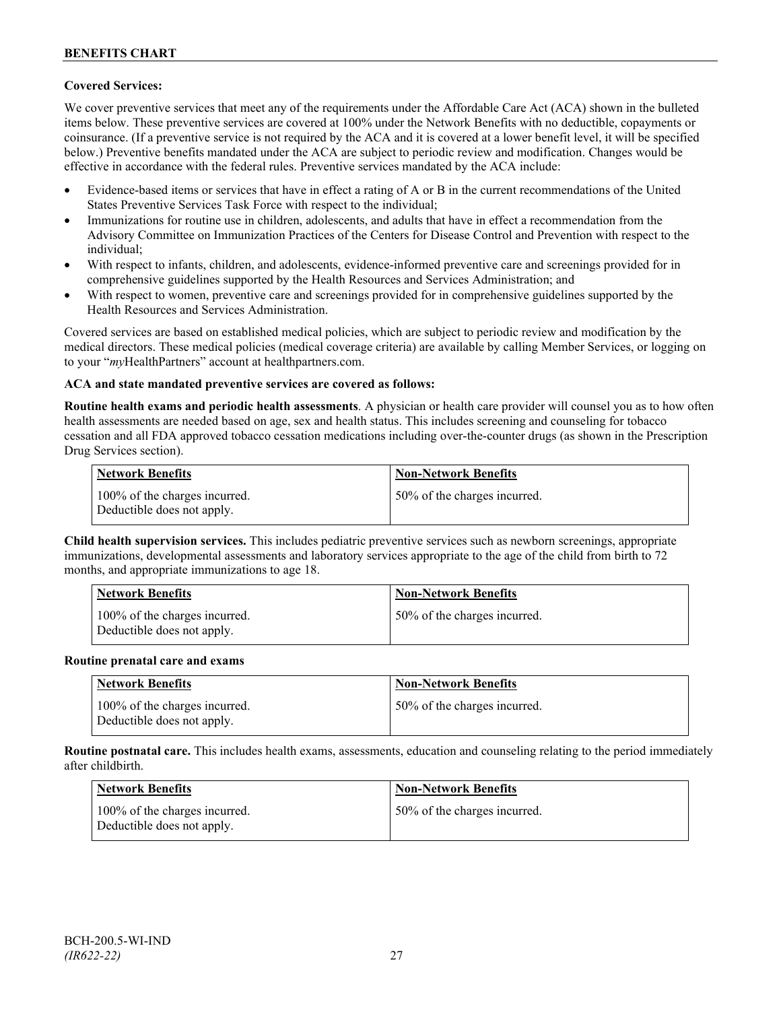# **Covered Services:**

We cover preventive services that meet any of the requirements under the Affordable Care Act (ACA) shown in the bulleted items below. These preventive services are covered at 100% under the Network Benefits with no deductible, copayments or coinsurance. (If a preventive service is not required by the ACA and it is covered at a lower benefit level, it will be specified below.) Preventive benefits mandated under the ACA are subject to periodic review and modification. Changes would be effective in accordance with the federal rules. Preventive services mandated by the ACA include:

- Evidence-based items or services that have in effect a rating of A or B in the current recommendations of the United States Preventive Services Task Force with respect to the individual;
- Immunizations for routine use in children, adolescents, and adults that have in effect a recommendation from the Advisory Committee on Immunization Practices of the Centers for Disease Control and Prevention with respect to the individual;
- With respect to infants, children, and adolescents, evidence-informed preventive care and screenings provided for in comprehensive guidelines supported by the Health Resources and Services Administration; and
- With respect to women, preventive care and screenings provided for in comprehensive guidelines supported by the Health Resources and Services Administration.

Covered services are based on established medical policies, which are subject to periodic review and modification by the medical directors. These medical policies (medical coverage criteria) are available by calling Member Services, or logging on to your "*my*HealthPartners" account at [healthpartners.com.](http://www.healthpartners.com/)

# **ACA and state mandated preventive services are covered as follows:**

**Routine health exams and periodic health assessments**. A physician or health care provider will counsel you as to how often health assessments are needed based on age, sex and health status. This includes screening and counseling for tobacco cessation and all FDA approved tobacco cessation medications including over-the-counter drugs (as shown in the Prescription Drug Services section).

| <b>Network Benefits</b>                                     | <b>Non-Network Benefits</b>  |
|-------------------------------------------------------------|------------------------------|
| 100% of the charges incurred.<br>Deductible does not apply. | 50% of the charges incurred. |

**Child health supervision services.** This includes pediatric preventive services such as newborn screenings, appropriate immunizations, developmental assessments and laboratory services appropriate to the age of the child from birth to 72 months, and appropriate immunizations to age 18.

| <b>Network Benefits</b>                                     | <b>Non-Network Benefits</b>  |
|-------------------------------------------------------------|------------------------------|
| 100% of the charges incurred.<br>Deductible does not apply. | 50% of the charges incurred. |

#### **Routine prenatal care and exams**

| Network Benefits                                            | <b>Non-Network Benefits</b>  |
|-------------------------------------------------------------|------------------------------|
| 100% of the charges incurred.<br>Deductible does not apply. | 50% of the charges incurred. |

**Routine postnatal care.** This includes health exams, assessments, education and counseling relating to the period immediately after childbirth.

| <b>Network Benefits</b>                                     | <b>Non-Network Benefits</b>  |
|-------------------------------------------------------------|------------------------------|
| 100% of the charges incurred.<br>Deductible does not apply. | 50% of the charges incurred. |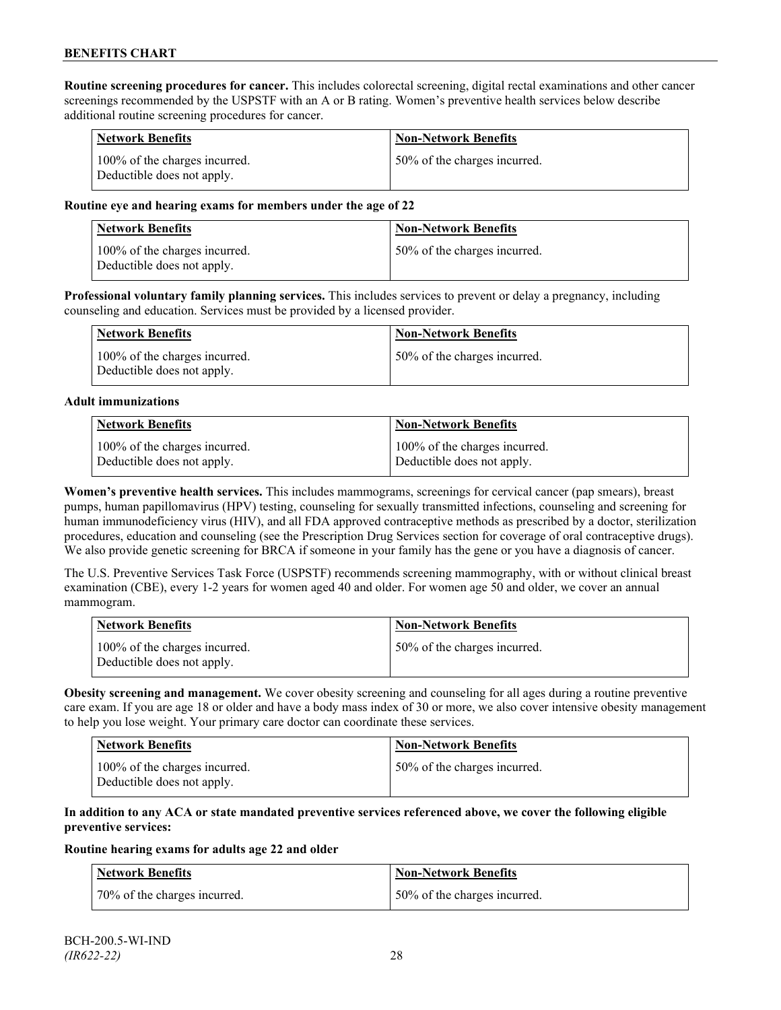**Routine screening procedures for cancer.** This includes colorectal screening, digital rectal examinations and other cancer screenings recommended by the USPSTF with an A or B rating. Women's preventive health services below describe additional routine screening procedures for cancer.

| <b>Network Benefits</b>                                     | <b>Non-Network Benefits</b>  |
|-------------------------------------------------------------|------------------------------|
| 100% of the charges incurred.<br>Deductible does not apply. | 50% of the charges incurred. |

### **Routine eye and hearing exams for members under the age of 22**

| Network Benefits                                            | <b>Non-Network Benefits</b>  |
|-------------------------------------------------------------|------------------------------|
| 100% of the charges incurred.<br>Deductible does not apply. | 50% of the charges incurred. |

**Professional voluntary family planning services.** This includes services to prevent or delay a pregnancy, including counseling and education. Services must be provided by a licensed provider.

| <b>Network Benefits</b>                                     | <b>Non-Network Benefits</b>  |
|-------------------------------------------------------------|------------------------------|
| 100% of the charges incurred.<br>Deductible does not apply. | 50% of the charges incurred. |

#### **Adult immunizations**

| <b>Network Benefits</b>       | <b>Non-Network Benefits</b>   |
|-------------------------------|-------------------------------|
| 100% of the charges incurred. | 100% of the charges incurred. |
| Deductible does not apply.    | Deductible does not apply.    |

**Women's preventive health services.** This includes mammograms, screenings for cervical cancer (pap smears), breast pumps, human papillomavirus (HPV) testing, counseling for sexually transmitted infections, counseling and screening for human immunodeficiency virus (HIV), and all FDA approved contraceptive methods as prescribed by a doctor, sterilization procedures, education and counseling (see the Prescription Drug Services section for coverage of oral contraceptive drugs). We also provide genetic screening for BRCA if someone in your family has the gene or you have a diagnosis of cancer.

The U.S. Preventive Services Task Force (USPSTF) recommends screening mammography, with or without clinical breast examination (CBE), every 1-2 years for women aged 40 and older. For women age 50 and older, we cover an annual mammogram.

| Network Benefits                                            | <b>Non-Network Benefits</b>  |
|-------------------------------------------------------------|------------------------------|
| 100% of the charges incurred.<br>Deductible does not apply. | 50% of the charges incurred. |

**Obesity screening and management.** We cover obesity screening and counseling for all ages during a routine preventive care exam. If you are age 18 or older and have a body mass index of 30 or more, we also cover intensive obesity management to help you lose weight. Your primary care doctor can coordinate these services.

| <b>Network Benefits</b>                                     | <b>Non-Network Benefits</b>  |
|-------------------------------------------------------------|------------------------------|
| 100% of the charges incurred.<br>Deductible does not apply. | 50% of the charges incurred. |

### **In addition to any ACA or state mandated preventive services referenced above, we cover the following eligible preventive services:**

#### **Routine hearing exams for adults age 22 and older**

| Network Benefits              | <b>Non-Network Benefits</b>  |
|-------------------------------|------------------------------|
| 170% of the charges incurred. | 50% of the charges incurred. |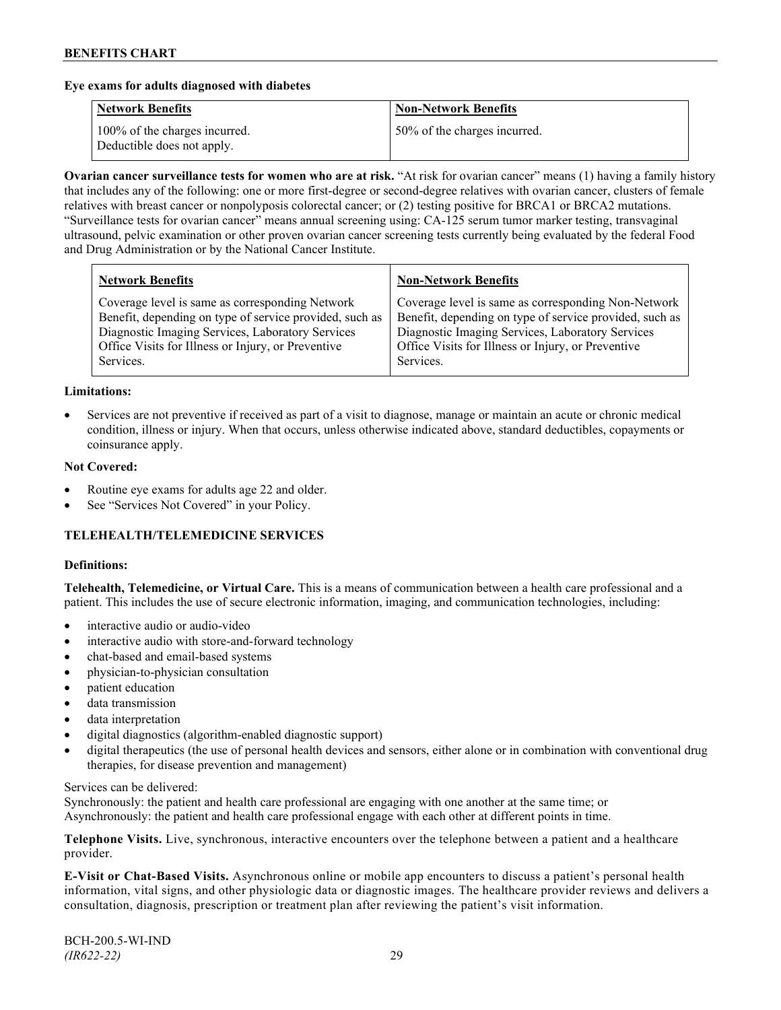### **Eye exams for adults diagnosed with diabetes**

| <b>Network Benefits</b>                                     | <b>Non-Network Benefits</b>  |
|-------------------------------------------------------------|------------------------------|
| 100% of the charges incurred.<br>Deductible does not apply. | 50% of the charges incurred. |

**Ovarian cancer surveillance tests for women who are at risk.** "At risk for ovarian cancer" means (1) having a family history that includes any of the following: one or more first-degree or second-degree relatives with ovarian cancer, clusters of female relatives with breast cancer or nonpolyposis colorectal cancer; or (2) testing positive for BRCA1 or BRCA2 mutations. "Surveillance tests for ovarian cancer" means annual screening using: CA-125 serum tumor marker testing, transvaginal ultrasound, pelvic examination or other proven ovarian cancer screening tests currently being evaluated by the federal Food and Drug Administration or by the National Cancer Institute.

| <b>Network Benefits</b>                                 | <b>Non-Network Benefits</b>                             |
|---------------------------------------------------------|---------------------------------------------------------|
| Coverage level is same as corresponding Network         | Coverage level is same as corresponding Non-Network     |
| Benefit, depending on type of service provided, such as | Benefit, depending on type of service provided, such as |
| Diagnostic Imaging Services, Laboratory Services        | Diagnostic Imaging Services, Laboratory Services        |
| Office Visits for Illness or Injury, or Preventive      | Office Visits for Illness or Injury, or Preventive      |
| Services.                                               | Services.                                               |

#### **Limitations:**

• Services are not preventive if received as part of a visit to diagnose, manage or maintain an acute or chronic medical condition, illness or injury. When that occurs, unless otherwise indicated above, standard deductibles, copayments or coinsurance apply.

### **Not Covered:**

- Routine eye exams for adults age 22 and older.
- See "Services Not Covered" in your Policy.

# **TELEHEALTH/TELEMEDICINE SERVICES**

#### **Definitions:**

**Telehealth, Telemedicine, or Virtual Care.** This is a means of communication between a health care professional and a patient. This includes the use of secure electronic information, imaging, and communication technologies, including:

- interactive audio or audio-video
- interactive audio with store-and-forward technology
- chat-based and email-based systems
- physician-to-physician consultation
- patient education
- data transmission
- data interpretation
- digital diagnostics (algorithm-enabled diagnostic support)
- digital therapeutics (the use of personal health devices and sensors, either alone or in combination with conventional drug therapies, for disease prevention and management)

#### Services can be delivered:

Synchronously: the patient and health care professional are engaging with one another at the same time; or Asynchronously: the patient and health care professional engage with each other at different points in time.

**Telephone Visits.** Live, synchronous, interactive encounters over the telephone between a patient and a healthcare provider.

**E-Visit or Chat-Based Visits.** Asynchronous online or mobile app encounters to discuss a patient's personal health information, vital signs, and other physiologic data or diagnostic images. The healthcare provider reviews and delivers a consultation, diagnosis, prescription or treatment plan after reviewing the patient's visit information.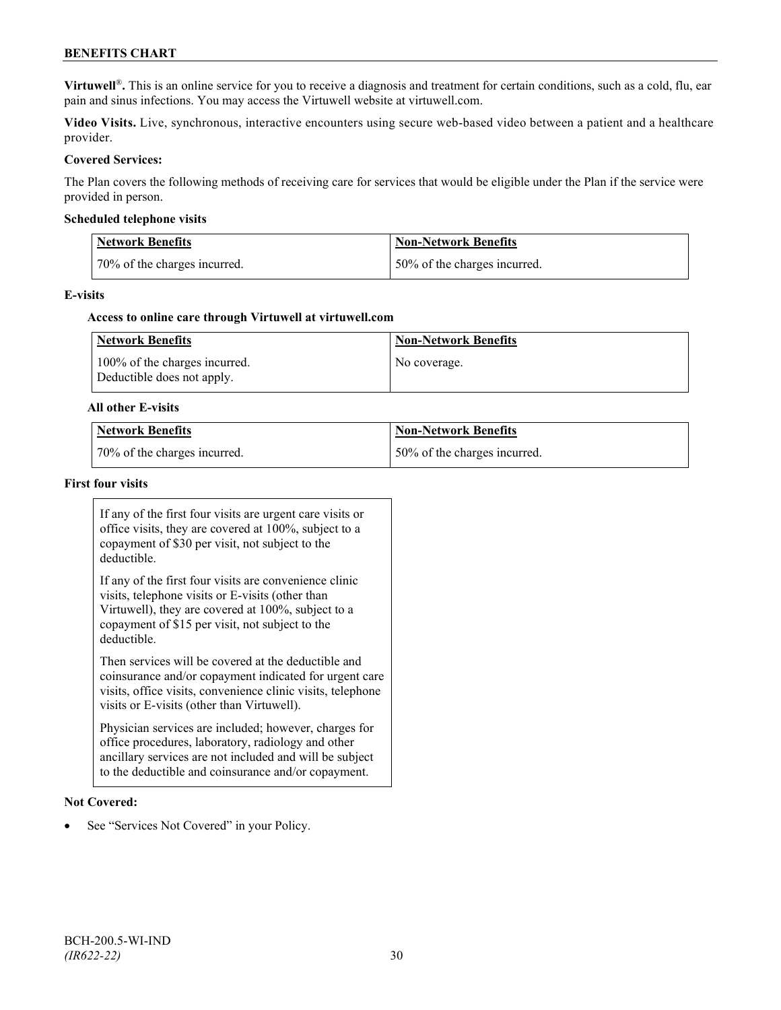# **BENEFITS CHART**

**Virtuwell<sup>®</sup>**. This is an online service for you to receive a diagnosis and treatment for certain conditions, such as a cold, flu, ear pain and sinus infections. You may access the Virtuwell website at [virtuwell.com.](https://www.virtuwell.com/)

**Video Visits.** Live, synchronous, interactive encounters using secure web-based video between a patient and a healthcare provider.

### **Covered Services:**

The Plan covers the following methods of receiving care for services that would be eligible under the Plan if the service were provided in person.

#### **Scheduled telephone visits**

| <b>Network Benefits</b>      | <b>Non-Network Benefits</b>  |
|------------------------------|------------------------------|
| 70% of the charges incurred. | 50% of the charges incurred. |

#### **E-visits**

#### **Access to online care through Virtuwell at [virtuwell.com](http://www.virtuwell.com/)**

| Network Benefits                                            | <b>Non-Network Benefits</b> |
|-------------------------------------------------------------|-----------------------------|
| 100% of the charges incurred.<br>Deductible does not apply. | No coverage.                |

#### **All other E-visits**

| Network Benefits             | <b>Non-Network Benefits</b>  |
|------------------------------|------------------------------|
| 70% of the charges incurred. | 50% of the charges incurred. |

#### **First four visits**

If any of the first four visits are urgent care visits or office visits, they are covered at 100%, subject to a copayment of \$30 per visit, not subject to the deductible.

If any of the first four visits are convenience clinic visits, telephone visits or E-visits (other than Virtuwell), they are covered at 100%, subject to a copayment of \$15 per visit, not subject to the deductible.

Then services will be covered at the deductible and coinsurance and/or copayment indicated for urgent care visits, office visits, convenience clinic visits, telephone visits or E-visits (other than Virtuwell).

Physician services are included; however, charges for office procedures, laboratory, radiology and other ancillary services are not included and will be subject to the deductible and coinsurance and/or copayment.

#### **Not Covered:**

See "Services Not Covered" in your Policy.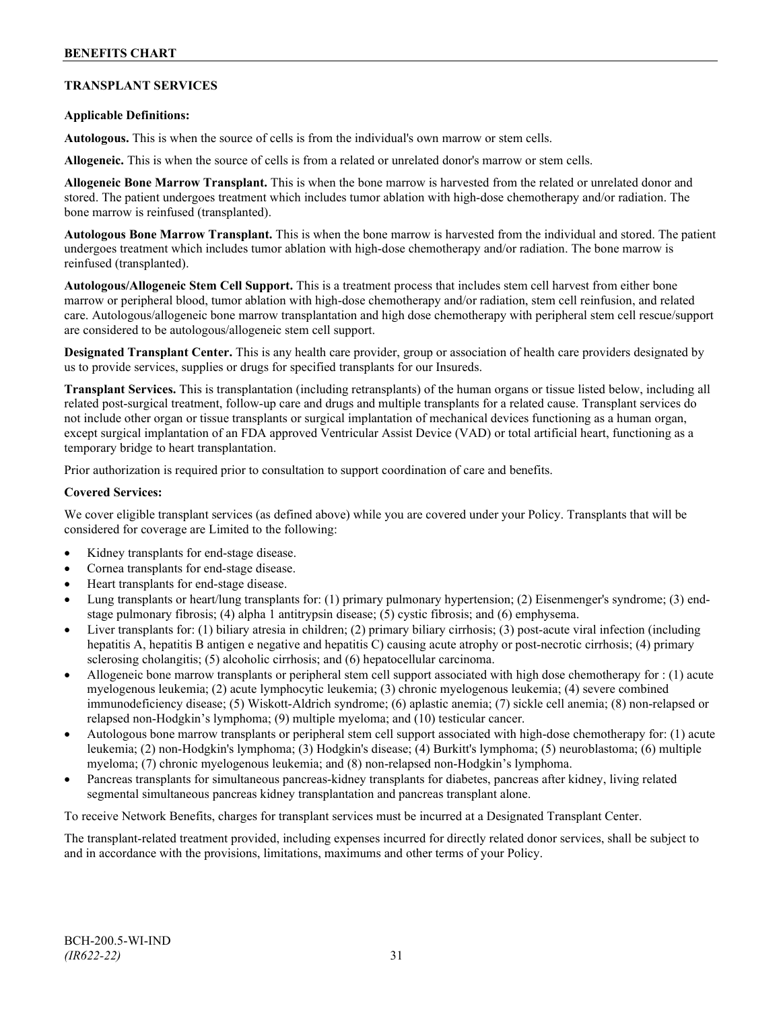# **TRANSPLANT SERVICES**

# **Applicable Definitions:**

**Autologous.** This is when the source of cells is from the individual's own marrow or stem cells.

**Allogeneic.** This is when the source of cells is from a related or unrelated donor's marrow or stem cells.

**Allogeneic Bone Marrow Transplant.** This is when the bone marrow is harvested from the related or unrelated donor and stored. The patient undergoes treatment which includes tumor ablation with high-dose chemotherapy and/or radiation. The bone marrow is reinfused (transplanted).

**Autologous Bone Marrow Transplant.** This is when the bone marrow is harvested from the individual and stored. The patient undergoes treatment which includes tumor ablation with high-dose chemotherapy and/or radiation. The bone marrow is reinfused (transplanted).

**Autologous/Allogeneic Stem Cell Support.** This is a treatment process that includes stem cell harvest from either bone marrow or peripheral blood, tumor ablation with high-dose chemotherapy and/or radiation, stem cell reinfusion, and related care. Autologous/allogeneic bone marrow transplantation and high dose chemotherapy with peripheral stem cell rescue/support are considered to be autologous/allogeneic stem cell support.

**Designated Transplant Center.** This is any health care provider, group or association of health care providers designated by us to provide services, supplies or drugs for specified transplants for our Insureds.

**Transplant Services.** This is transplantation (including retransplants) of the human organs or tissue listed below, including all related post-surgical treatment, follow-up care and drugs and multiple transplants for a related cause. Transplant services do not include other organ or tissue transplants or surgical implantation of mechanical devices functioning as a human organ, except surgical implantation of an FDA approved Ventricular Assist Device (VAD) or total artificial heart, functioning as a temporary bridge to heart transplantation.

Prior authorization is required prior to consultation to support coordination of care and benefits.

#### **Covered Services:**

We cover eligible transplant services (as defined above) while you are covered under your Policy. Transplants that will be considered for coverage are Limited to the following:

- Kidney transplants for end-stage disease.
- Cornea transplants for end-stage disease.
- Heart transplants for end-stage disease.
- Lung transplants or heart/lung transplants for: (1) primary pulmonary hypertension; (2) Eisenmenger's syndrome; (3) endstage pulmonary fibrosis; (4) alpha 1 antitrypsin disease; (5) cystic fibrosis; and (6) emphysema.
- Liver transplants for: (1) biliary atresia in children; (2) primary biliary cirrhosis; (3) post-acute viral infection (including hepatitis A, hepatitis B antigen e negative and hepatitis C) causing acute atrophy or post-necrotic cirrhosis; (4) primary sclerosing cholangitis; (5) alcoholic cirrhosis; and (6) hepatocellular carcinoma.
- Allogeneic bone marrow transplants or peripheral stem cell support associated with high dose chemotherapy for : (1) acute myelogenous leukemia; (2) acute lymphocytic leukemia; (3) chronic myelogenous leukemia; (4) severe combined immunodeficiency disease; (5) Wiskott-Aldrich syndrome; (6) aplastic anemia; (7) sickle cell anemia; (8) non-relapsed or relapsed non-Hodgkin's lymphoma; (9) multiple myeloma; and (10) testicular cancer.
- Autologous bone marrow transplants or peripheral stem cell support associated with high-dose chemotherapy for: (1) acute leukemia; (2) non-Hodgkin's lymphoma; (3) Hodgkin's disease; (4) Burkitt's lymphoma; (5) neuroblastoma; (6) multiple myeloma; (7) chronic myelogenous leukemia; and (8) non-relapsed non-Hodgkin's lymphoma.
- Pancreas transplants for simultaneous pancreas-kidney transplants for diabetes, pancreas after kidney, living related segmental simultaneous pancreas kidney transplantation and pancreas transplant alone.

To receive Network Benefits, charges for transplant services must be incurred at a Designated Transplant Center.

The transplant-related treatment provided, including expenses incurred for directly related donor services, shall be subject to and in accordance with the provisions, limitations, maximums and other terms of your Policy.